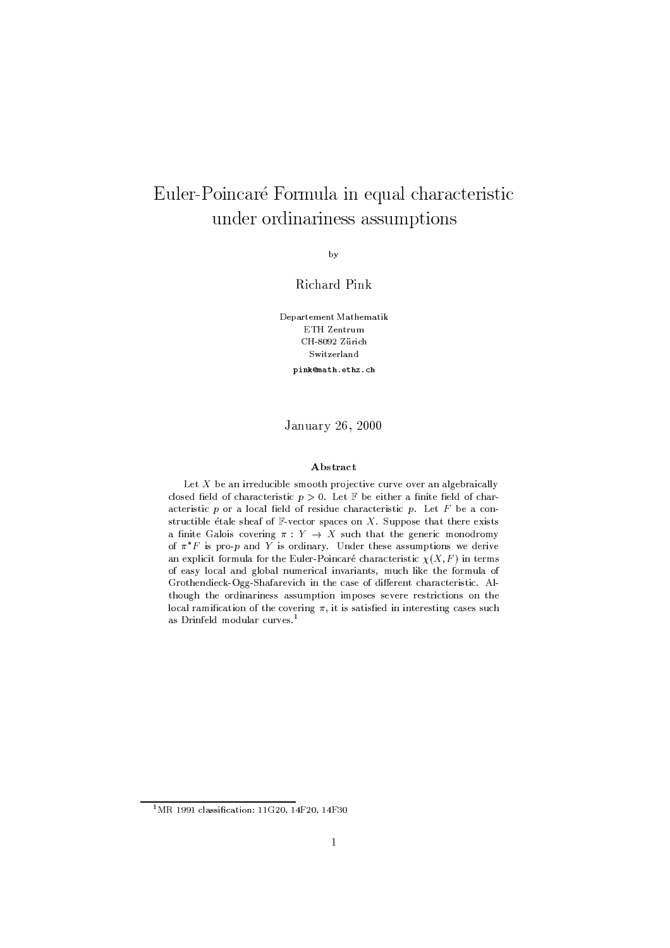# Euler-Poincaré Formula in equal characteristic under ordinariness assumptions

by

Richard Pink

Departement Mathematik ETH Zentrum CH-8092 Zürich Switzerland pink@math.ethz.ch

January 26, 2000

### Abstract

Let  $X$  be an irreducible smooth projective curve over an algebraically closed field of characteristic  $p > 0$ . Let  $\mathbb F$  be either a finite field of characteristic  $p$  or a local field of residue characteristic  $p$ . Let  $F$  be a constructible étale sheaf of  $\mathbb{F}\text{-vector spaces}$  on X. Suppose that there exists a finite Galois covering  $\pi: Y \to X$  such that the generic monodromy of  $\pi^* F$  is pro-p and Y is ordinary. Under these assumptions we derive an explicit formula for the Euler-Poincaré characteristic  $\chi(X, F)$  in terms of easy local and global numerical invariants, much like the formula of Grothendieck-Ogg-Shafarevich in the case of different characteristic. Although the ordinariness assumption imposes severe restrictions on the local ramification of the covering  $\pi$ , it is satisfied in interesting cases such as Drinfeld modular curves.<sup>1</sup>

<sup>&</sup>lt;sup>1</sup>MR 1991 classification: 11G20, 14F20, 14F30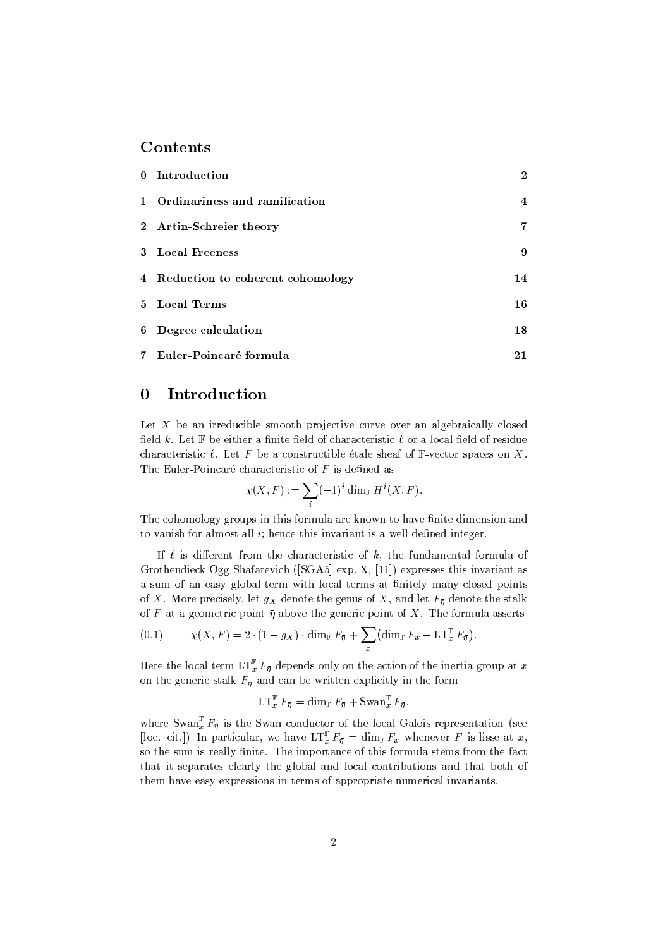## Contents

| 0 Introduction                     | $\boldsymbol{2}$ |
|------------------------------------|------------------|
| 1 Ordinariness and ramification    | $\overline{4}$   |
| 2 Artin-Schreier theory            | 7                |
| 3 Local Freeness                   | 9                |
| 4 Reduction to coherent cohomology | 14               |
| 5 Local Terms                      | 16               |
| 6 Degree calculation               | 18               |
| 7 Euler-Poincaré formula           | 21               |

#### $\bf{0}$ Introduction

Let  $X$  be an irreducible smooth projective curve over an algebraically closed field k. Let  $\mathbb F$  be either a finite field of characteristic  $\ell$  or a local field of residue characteristic  $\ell$ . Let F be a constructible étale sheaf of F-vector spaces on X. The Euler-Poincaré characteristic of  $F$  is defined as

$$
\chi(X,F) := \sum_{i} (-1)^i \dim_{\mathbb{F}} H^i(X,F).
$$

The cohomology groups in this formula are known to have finite dimension and to vanish for almost all  $i$ ; hence this invariant is a well-defined integer.

If  $\ell$  is different from the characteristic of k, the fundamental formula of Grothendieck-Ogg-Shafarevich ([SGA5] exp. X, [11]) expresses this invariant as a sum of an easy global term with local terms at finitely many closed points of X. More precisely, let  $g_X$  denote the genus of X, and let  $F_{\overline{n}}$  denote the stalk of F at a geometric point  $\bar{\eta}$  above the generic point of X. The formula asserts

(0.1) 
$$
\chi(X, F) = 2 \cdot (1 - g_X) \cdot \dim_{\mathbb{F}} F_{\overline{\eta}} + \sum_x \left( \dim_{\mathbb{F}} F_x - \mathbb{L} \mathbb{T}_x^{\mathbb{F}} F_{\overline{\eta}} \right).
$$

Here the local term  $LT_{x}^{\mathbb{F}} F_{\overline{\eta}}$  depends only on the action of the inertia group at x on the generic stalk  $F_{\overline{n}}$  and can be written explicitly in the form

$$
\mathop{\rm LT}\nolimits^{\mathbb{F}}_x F_{\bar{\eta}} = \dim_{\mathbb{F}} F_{\bar{\eta}} + \mathop{\rm Swan}\nolimits_{x}^{\mathbb{F}} F_{\bar{\eta}}
$$

where  $\text{Swan}_{x}^{\mathbb{F}} F_{\overline{\eta}}$  is the Swan conductor of the local Galois representation (see [loc. cit.]) In particular, we have  $\text{LT}_{x}^{\mathbb{F}} F_{\overline{\eta}} = \dim_{\mathbb{F}} F_{x}$  whenever F is lisse at x, so the sum is really finite. The importance of this formula stems from the fact that it separates clearly the global and local contributions and that both of them have easy expressions in terms of appropriate numerical invariants.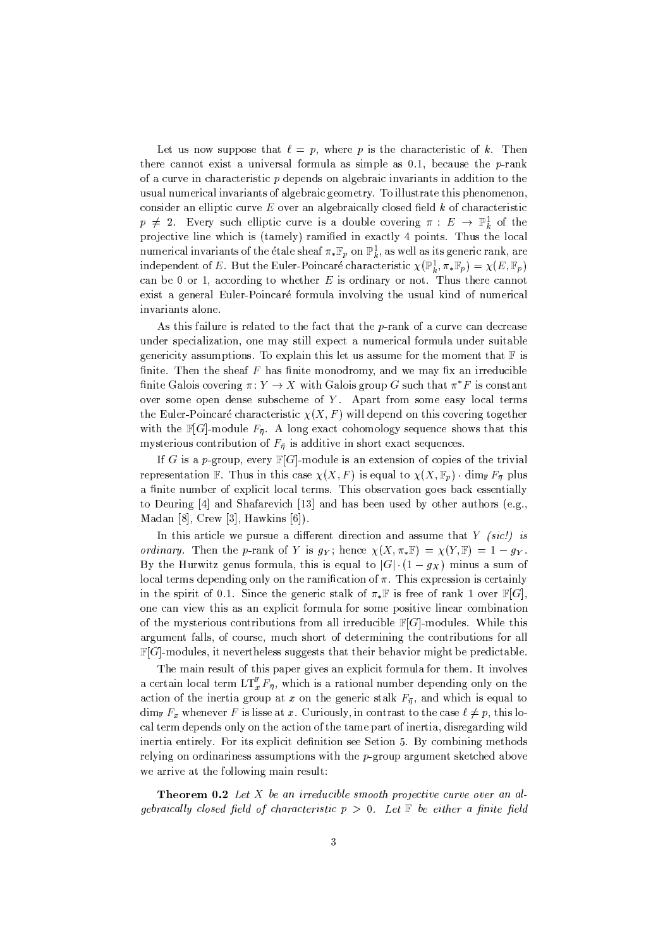Let us now suppose that  $\ell = p$ , where p is the characteristic of k. Then there cannot exist a universal formula as simple as  $0.1$ , because the *p*-rank of a curve in characteristic  $p$  depends on algebraic invariants in addition to the usual numerical invariants of algebraic geometry. To illustrate this phenomenon, consider an elliptic curve  $E$  over an algebraically closed field  $k$  of characteristic  $p \neq 2$ . Every such elliptic curve is a double covering  $\pi : E \to \mathbb{P}^1_k$  of the projective line which is (tamely) ramified in exactly 4 points. Thus the local numerical invariants of the étale sheaf  $\pi_* \mathbb{F}_p$  on  $\mathbb{P}^1_k$ , as well as its generic rank, are independent of E. But the Euler-Poincaré characteristic  $\chi(\mathbb{P}^1_k, \pi_* \mathbb{F}_p) = \chi(E, \mathbb{F}_p)$ can be 0 or 1, according to whether  $E$  is ordinary or not. Thus there cannot exist a general Euler-Poincaré formula involving the usual kind of numerical invariants alone.

As this failure is related to the fact that the p-rank of a curve can decrease under specialization, one may still expect a numerical formula under suitable genericity assumptions. To explain this let us assume for the moment that  $\mathbb F$  is finite. Then the sheaf  $F$  has finite monodromy, and we may fix an irreducible finite Galois covering  $\pi: Y \to X$  with Galois group G such that  $\pi^*F$  is constant over some open dense subscheme of  $Y$ . Apart from some easy local terms the Euler-Poincaré characteristic  $\chi(X, F)$  will depend on this covering together with the  $\mathbb{F}[G]$ -module  $F_{\overline{n}}$ . A long exact cohomology sequence shows that this mysterious contribution of  $F_{\overline{n}}$  is additive in short exact sequences.

If G is a p-group, every  $\mathbb{F}[G]$ -module is an extension of copies of the trivial representation F. Thus in this case  $\chi(X, F)$  is equal to  $\chi(X, \mathbb{F}_p)$  dim  $F_{\overline{p}}$  plus a finite number of explicit local terms. This observation goes back essentially to Deuring [4] and Shafarevich [13] and has been used by other authors (e.g., Madan [8], Crew [3], Hawkins  $[6]$ ).

In this article we pursue a different direction and assume that  $Y$  (sic!) is *ordinary.* Then the p-rank of Y is  $g_Y$ ; hence  $\chi(X, \pi_*\mathbb{F}) = \chi(Y, \mathbb{F}) = 1 - g_Y$ . By the Hurwitz genus formula, this is equal to  $|G| \cdot (1 - g_X)$  minus a sum of local terms depending only on the ramification of  $\pi$ . This expression is certainly in the spirit of 0.1. Since the generic stalk of  $\pi_*\mathbb{F}$  is free of rank 1 over  $\mathbb{F}[G]$ , one can view this as an explicit formula for some positive linear combination of the mysterious contributions from all irreducible  $\mathbb{F}[G]$ -modules. While this argument falls, of course, much short of determining the contributions for all  $\mathbb{F}[G]$ -modules, it nevertheless suggests that their behavior might be predictable.

The main result of this paper gives an explicit formula for them. It involves a certain local term  $LT_x^{\mathbb{F}} F_{\bar{\pi}}$ , which is a rational number depending only on the action of the inertia group at x on the generic stalk  $F_{\bar{\eta}}$ , and which is equal to  $\dim_{\mathbb{F}} F_x$  whenever F is lisse at x. Curiously, in contrast to the case  $\ell \neq p$ , this local term depends only on the action of the tame part of inertia, disregarding wild inertia entirely. For its explicit definition see Setion 5. By combining methods relying on ordinariness assumptions with the  $p$ -group argument sketched above we arrive at the following main result:

**Theorem 0.2** Let  $X$  be an irreducible smooth projective curve over an algebraically closed field of characteristic  $p > 0$ . Let  $\mathbb F$  be either a finite field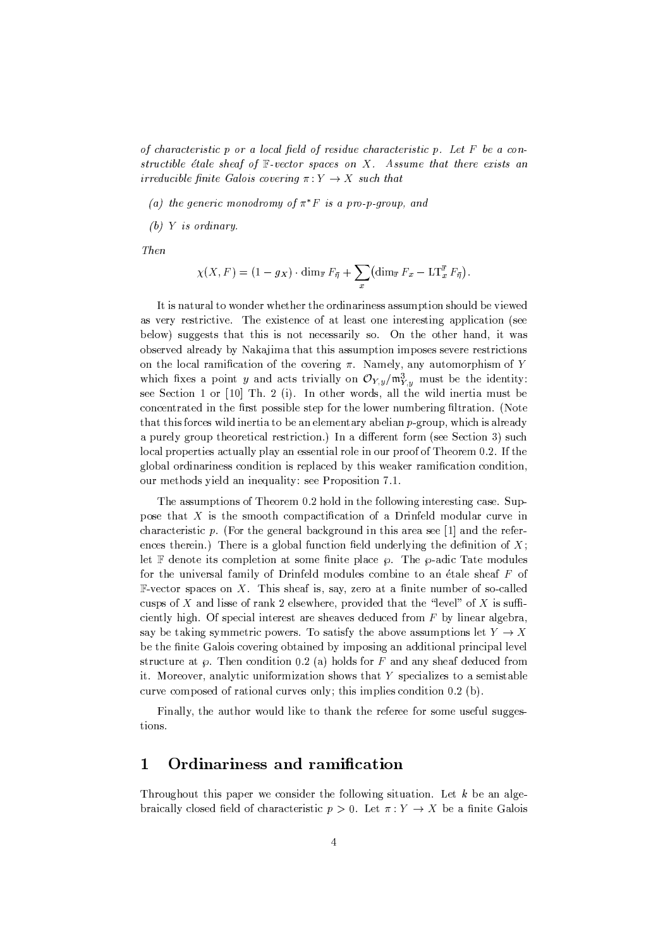of characteristic  $p$  or a local field of residue characteristic  $p$ . Let  $F$  be a constructible étale sheaf of  $\mathbb F$ -vector spaces on X. Assume that there exists an irreducible finite Galois covering  $\pi: Y \to X$  such that

(a) the generic monodromy of  $\pi^* F$  is a pro-p-group, and

 $(b)$  Y is ordinary.

Then

$$
\chi(X, F) = (1 - g_X) \cdot \dim_{\mathbb{F}} F_{\bar{\eta}} + \sum_x \left( \dim_{\mathbb{F}} F_x - \mathop{\rm LT}\nolimits_x^{\mathbb{F}} F_{\bar{\eta}} \right).
$$

It is natural to wonder whether the ordinariness assumption should be viewed as very restrictive. The existence of at least one interesting application (see below) suggests that this is not necessarily so. On the other hand, it was observed already by Nakajima that this assumption imposes severe restrictions on the local ramification of the covering  $\pi$ . Namely, any automorphism of Y which fixes a point y and acts trivially on  $\mathcal{O}_{Y,y}/\mathfrak{m}_{Y,y}^3$  must be the identity: see Section 1 or [10] Th. 2 (i). In other words, all the wild inertia must be concentrated in the first possible step for the lower numbering filtration. (Note that this forces wild inertia to be an elementary abelian p-group, which is already a purely group theoretical restriction.) In a different form (see Section 3) such local properties actually play an essential role in our proof of Theorem 0.2. If the global ordinariness condition is replaced by this weaker ramification condition. our methods yield an inequality: see Proposition 7.1.

The assumptions of Theorem 0.2 hold in the following interesting case. Suppose that  $X$  is the smooth compactification of a Drinfeld modular curve in characteristic p. (For the general background in this area see  $[1]$  and the references therein.) There is a global function field underlying the definition of  $X_i$ let  $\mathbb F$  denote its completion at some finite place  $\varphi$ . The  $\varphi$ -adic Tate modules for the universal family of Drinfeld modules combine to an étale sheaf F of F-vector spaces on X. This sheaf is, say, zero at a finite number of so-called cusps of X and lisse of rank 2 elsewhere, provided that the "level" of X is sufficiently high. Of special interest are sheaves deduced from  $F$  by linear algebra, say be taking symmetric powers. To satisfy the above assumptions let  $Y \to X$ be the finite Galois covering obtained by imposing an additional principal level structure at  $\wp$ . Then condition 0.2 (a) holds for F and any sheaf deduced from it. Moreover, analytic uniformization shows that Y specializes to a semistable curve composed of rational curves only; this implies condition 0.2 (b).

Finally, the author would like to thank the referee for some useful suggestions.

#### 1 Ordinariness and ramification

Throughout this paper we consider the following situation. Let  $k$  be an algebraically closed field of characteristic  $p > 0$ . Let  $\pi: Y \to X$  be a finite Galois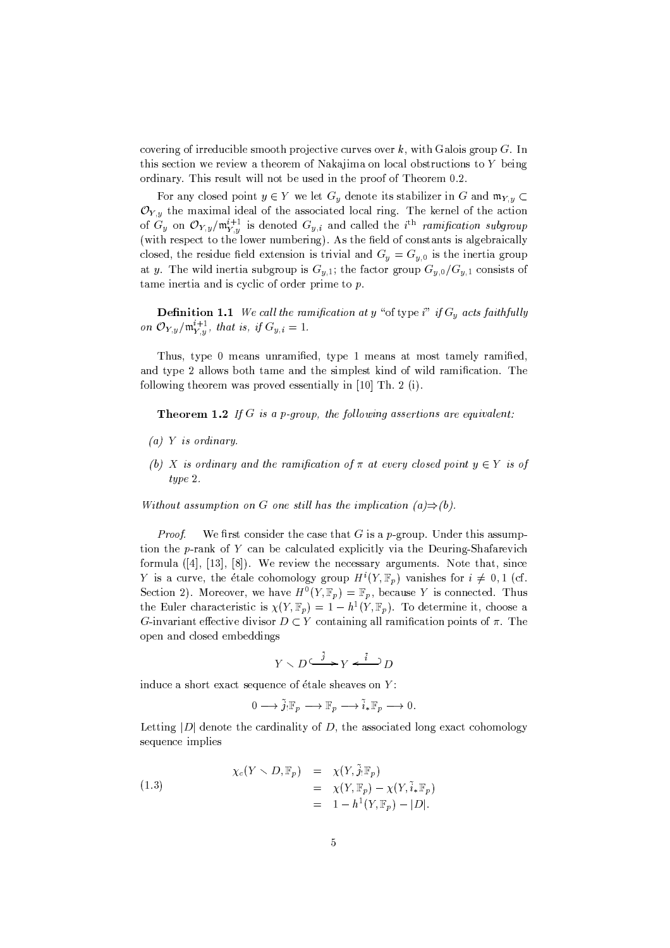covering of irreducible smooth projective curves over k, with Galois group G. In this section we review a theorem of Nakajima on local obstructions to Y being ordinary. This result will not be used in the proof of Theorem 0.2.

For any closed point  $y \in Y$  we let  $G_y$  denote its stabilizer in G and  $\mathfrak{m}_{Y,y} \subset$  $\mathcal{O}_{Y,y}$  the maximal ideal of the associated local ring. The kernel of the action of  $G_y$  on  $\mathcal{O}_{Y,y}/\mathfrak{m}_{Y,y}^{i+1}$  is denoted  $G_{y,i}$  and called the i<sup>th</sup> ramification subgroup (with respect to the lower numbering). As the field of constants is algebraically closed, the residue field extension is trivial and  $G_y = G_{y,0}$  is the inertia group at y. The wild inertia subgroup is  $G_{v,1}$ ; the factor group  $G_{v,0}/G_{v,1}$  consists of tame inertia and is cyclic of order prime to  $p$ .

**Definition 1.1** We call the ramification at y "of type i" if  $G_y$  acts faithfully on  $\mathcal{O}_{Y,y}/\mathfrak{m}_{Y,y}^{i+1}$ , that is, if  $G_{y,i}=1$ .

Thus, type 0 means unramified, type 1 means at most tamely ramified, and type 2 allows both tame and the simplest kind of wild ramification. The following theorem was proved essentially in [10] Th. 2 (i).

**Theorem 1.2** If G is a p-group, the following assertions are equivalent:

- $(a)$  Y is ordinary.
- (b) X is ordinary and the ramification of  $\pi$  at every closed point  $y \in Y$  is of  $type 2.$

Without assumption on G one still has the implication  $(a) \Rightarrow (b)$ .

Proof. We first consider the case that G is a p-group. Under this assumption the p-rank of Y can be calculated explicitly via the Deuring-Shafarevich formula ([4], [13], [8]). We review the necessary arguments. Note that, since Y is a curve, the étale cohomology group  $H^i(Y, \mathbb{F}_p)$  vanishes for  $i \neq 0, 1$  (cf. Section 2). Moreover, we have  $H^0(Y, \mathbb{F}_p) = \mathbb{F}_p$ , because Y is connected. Thus the Euler characteristic is  $\chi(Y,\mathbb{F}_p) = 1 - h^1(Y,\mathbb{F}_p)$ . To determine it, choose a G-invariant effective divisor  $D \subset Y$  containing all ramification points of  $\pi$ . The open and closed embeddings

$$
Y\smallsetminus D\stackrel{\tilde{j}}{\xrightarrow{\hspace*{1cm}}} Y\stackrel{\tilde{i}}{\xrightarrow{\hspace*{1cm}}} D
$$

induce a short exact sequence of étale sheaves on  $Y$ :

$$
0\longrightarrow \widetilde{j}_!{\mathbb F}_p\longrightarrow {\mathbb F}_p\longrightarrow \widetilde{i}_*{\mathbb F}_p\longrightarrow 0.
$$

Letting  $|D|$  denote the cardinality of D, the associated long exact cohomology sequence implies

(1.3)  
\n
$$
\chi_c(Y \setminus D, \mathbb{F}_p) = \chi(Y, \tilde{j}_! \mathbb{F}_p) \n= \chi(Y, \mathbb{F}_p) - \chi(Y, \tilde{i}_* \mathbb{F}_p) \n= 1 - h^1(Y, \mathbb{F}_p) - |D|.
$$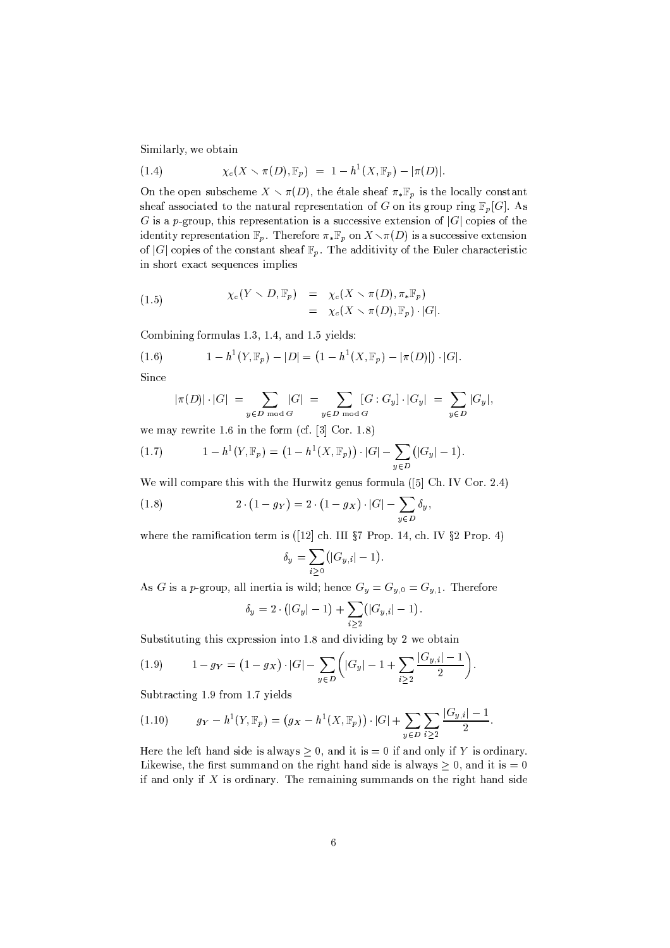Similarly, we obtain

(1.4) 
$$
\chi_c(X \setminus \pi(D), \mathbb{F}_p) = 1 - h^1(X, \mathbb{F}_p) - |\pi(D)|.
$$

On the open subscheme  $X \setminus \pi(D)$ , the étale sheaf  $\pi_* \mathbb{F}_p$  is the locally constant sheaf associated to the natural representation of G on its group ring  $\mathbb{F}_p[G]$ . As G is a p-group, this representation is a successive extension of  $|G|$  copies of the identity representation  $\mathbb{F}_p$ . Therefore  $\pi_*\mathbb{F}_p$  on  $X \setminus \pi(D)$  is a successive extension of |G| copies of the constant sheaf  $\mathbb{F}_p$ . The additivity of the Euler characteristic in short exact sequences implies

(1.5) 
$$
\chi_c(Y \setminus D, \mathbb{F}_p) = \chi_c(X \setminus \pi(D), \pi_*\mathbb{F}_p) = \chi_c(X \setminus \pi(D), \mathbb{F}_p) \cdot |G|.
$$

Combining formulas 1.3, 1.4, and 1.5 yields:

(1.6) 
$$
1 - h^{1}(Y, \mathbb{F}_{p}) - |D| = (1 - h^{1}(X, \mathbb{F}_{p}) - |\pi(D)|) \cdot |G|.
$$

Since

$$
|\pi(D)| \cdot |G| \ = \ \sum_{y \in D \bmod G} |G| \ = \sum_{y \in D \bmod G} [G : G_y] \cdot |G_y| \ = \ \sum_{y \in D} |G_y|,
$$

we may rewrite 1.6 in the form (cf.  $[3]$  Cor. 1.8)

(1.7) 
$$
1 - h^{1}(Y, \mathbb{F}_{p}) = (1 - h^{1}(X, \mathbb{F}_{p})) \cdot |G| - \sum_{y \in D} (|G_{y}| - 1).
$$

We will compare this with the Hurwitz genus formula ( $[5]$  Ch. IV Cor. 2.4)

(1.8) 
$$
2 \cdot (1 - g_Y) = 2 \cdot (1 - g_X) \cdot |G| - \sum_{y \in D} \delta_y,
$$

where the ramification term is ([12] ch. III  $\S 7$  Prop. 14, ch. IV  $\S 2$  Prop. 4)

$$
\delta_y = \sum_{i \geq 0} (|G_{y,i}| - 1)
$$

As G is a p-group, all inertia is wild; hence  $G_y = G_{y,0} = G_{y,1}$ . Therefore

$$
\delta_y = 2 \cdot (|G_y| - 1) + \sum_{i \ge 2} (|G_{y,i}| - 1).
$$

Substituting this expression into 1.8 and dividing by 2 we obtain

(1.9) 
$$
1 - g_Y = (1 - g_X) \cdot |G| - \sum_{y \in D} \left( |G_y| - 1 + \sum_{i \ge 2} \frac{|G_{y,i}| - 1}{2} \right).
$$

Subtracting 1.9 from 1.7 yields

Here the left hand side is always  $\geq 0$ , and it is = 0 if and only if Y is ordinary. Likewise, the first summand on the right hand side is always  $\geq 0$ , and it is = 0 if and only if  $X$  is ordinary. The remaining summands on the right hand side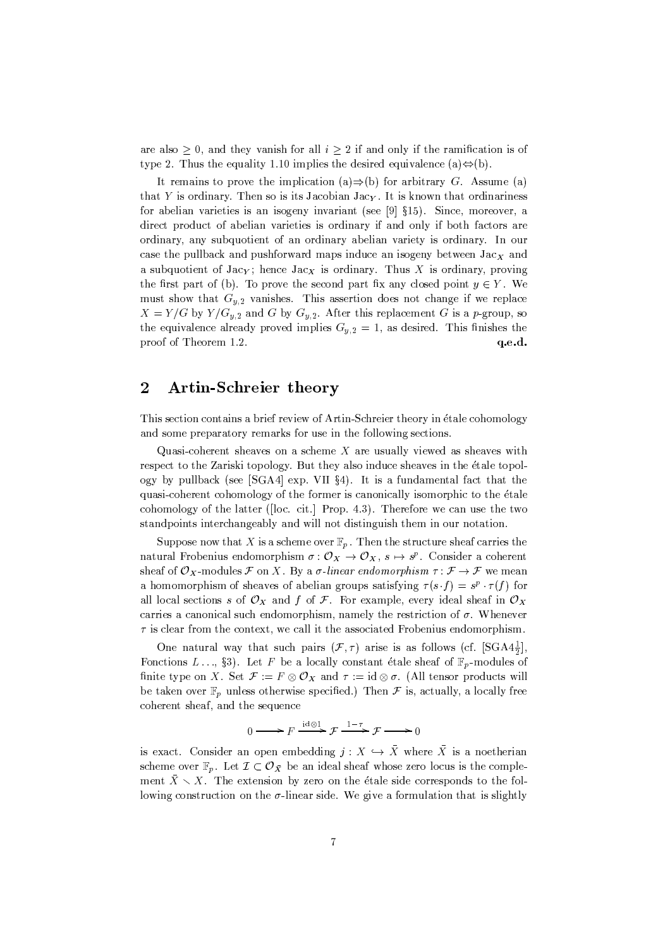are also  $\geq 0$ , and they vanish for all  $i \geq 2$  if and only if the ramification is of type 2. Thus the equality 1.10 implies the desired equivalence (a) $\Leftrightarrow$ (b).

It remains to prove the implication (a)  $\Rightarrow$  (b) for arbitrary G. Assume (a) that Y is ordinary. Then so is its Jacobian Jac<sub>Y</sub>. It is known that ordinariness for abelian varieties is an isogeny invariant (see [9] §15). Since, moreover, a direct product of abelian varieties is ordinary if and only if both factors are ordinary, any subquotient of an ordinary abelian variety is ordinary. In our case the pullback and pushforward maps induce an isogeny between  $Jac<sub>x</sub>$  and a subquotient of Jacy; hence Jacy is ordinary. Thus X is ordinary, proving the first part of (b). To prove the second part fix any closed point  $y \in Y$ . We must show that  $G_{y,2}$  vanishes. This assertion does not change if we replace  $X = Y/G$  by  $Y/G_{y,2}$  and G by  $G_{y,2}$ . After this replacement G is a p-group, so the equivalence already proved implies  $G_{y,2} = 1$ , as desired. This finishes the proof of Theorem 1.2. q.e.d.

#### $\overline{2}$ **Artin-Schreier theory**

This section contains a brief review of Artin-Schreier theory in étale cohomology and some preparatory remarks for use in the following sections.

Quasi-coherent sheaves on a scheme  $X$  are usually viewed as sheaves with respect to the Zariski topology. But they also induce sheaves in the étale topology by pullback (see [SGA4] exp. VII §4). It is a fundamental fact that the quasi-coherent cohomology of the former is canonically isomorphic to the étale cohomology of the latter ([loc. cit.] Prop. 4.3). Therefore we can use the two standpoints interchangeably and will not distinguish them in our notation.

Suppose now that X is a scheme over  $\mathbb{F}_p$ . Then the structure sheaf carries the natural Frobenius endomorphism  $\sigma: \mathcal{O}_X \to \mathcal{O}_X$ ,  $s \mapsto s^p$ . Consider a coherent sheaf of  $\mathcal{O}_X$ -modules  $\mathcal F$  on X. By a  $\sigma$ -linear endomorphism  $\tau: \mathcal F \to \mathcal F$  we mean a homomorphism of sheaves of abelian groups satisfying  $\tau(s \cdot f) = s^p \cdot \tau(f)$  for all local sections s of  $\mathcal{O}_X$  and f of F. For example, every ideal sheaf in  $\mathcal{O}_X$ carries a canonical such endomorphism, namely the restriction of  $\sigma$ . Whenever  $\tau$  is clear from the context, we call it the associated Frobenius endomorphism.

One natural way that such pairs  $(\mathcal{F}, \tau)$  arise is as follows (cf.  $[SGA4\frac{1}{2}]$ ), Fonctions L.., §3). Let F be a locally constant étale sheaf of  $\mathbb{F}_p$ -modules of finite type on X. Set  $\mathcal{F} := F \otimes \mathcal{O}_X$  and  $\tau := id \otimes \sigma$ . (All tensor products will be taken over  $\mathbb{F}_p$  unless otherwise specified.) Then  $\mathcal F$  is, actually, a locally free coherent sheaf, and the sequence

$$
0 \longrightarrow F \xrightarrow{\mathrm{id} \otimes 1} \mathcal{F} \xrightarrow{1-\tau} \mathcal{F} \longrightarrow 0
$$

is exact. Consider an open embedding  $j: X \hookrightarrow \overline{X}$  where  $\overline{X}$  is a noetherian scheme over  $\mathbb{F}_p$ . Let  $\mathcal{I} \subset \mathcal{O}_{\bar{X}}$  be an ideal sheaf whose zero locus is the complement  $\bar{X} \setminus X$ . The extension by zero on the étale side corresponds to the following construction on the  $\sigma$ -linear side. We give a formulation that is slightly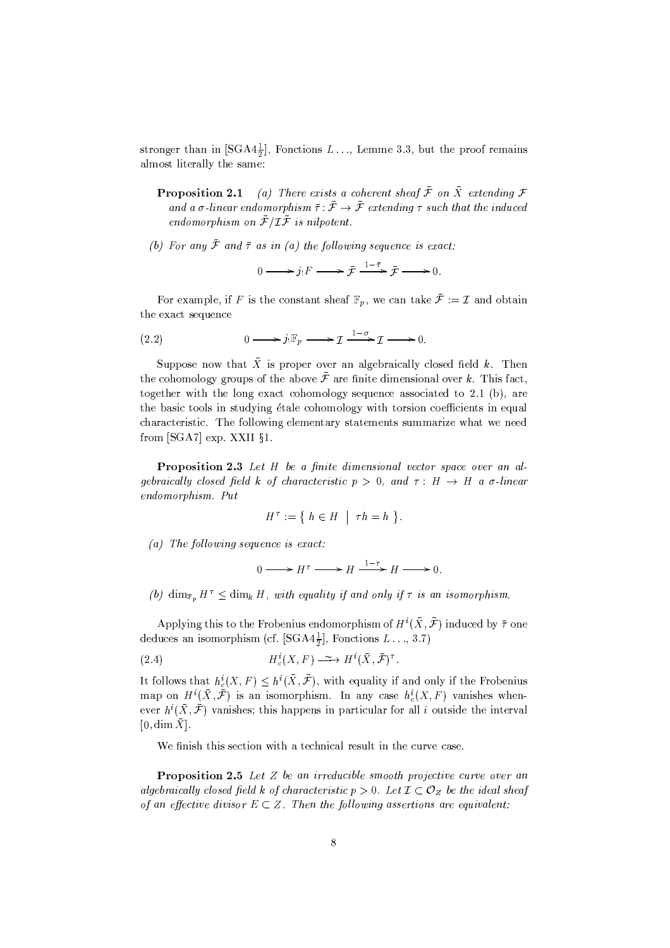stronger than in [SGA4 $\frac{1}{2}$ ], Fonctions L..., Lemme 3.3, but the proof remains almost literally the same:

- **Proposition 2.1** (a) There exists a coherent sheaf  $\bar{\mathcal{F}}$  on  $\bar{X}$  extending  $\mathcal{F}$ and a  $\sigma$ -linear endomorphism  $\bar{\tau}$ :  $\bar{\mathcal{F}} \to \bar{\mathcal{F}}$  extending  $\tau$  such that the induced endomorphism on  $\bar{\mathcal{F}}/\mathcal{I}\bar{\mathcal{F}}$  is nilpotent.
- (b) For any  $\bar{\mathcal{F}}$  and  $\bar{\tau}$  as in (a) the following sequence is exact:

$$
0 \longrightarrow j_!F \longrightarrow \bar{\mathcal{F}} \xrightarrow{1-\bar{\tau}} \bar{\mathcal{F}} \longrightarrow 0.
$$

For example, if F is the constant sheaf  $\mathbb{F}_p$ , we can take  $\bar{\mathcal{F}} := \mathcal{I}$  and obtain the exact sequence

$$
(2.2) \t\t 0 \longrightarrow j_! \mathbb{F}_p \longrightarrow \mathcal{I} \xrightarrow{1-\sigma} \mathcal{I} \longrightarrow 0
$$

Suppose now that  $\bar{X}$  is proper over an algebraically closed field k. Then the cohomology groups of the above  $\bar{\mathcal{F}}$  are finite dimensional over k. This fact, together with the long exact cohomology sequence associated to 2.1 (b), are the basic tools in studying étale cohomology with torsion coefficients in equal characteristic. The following elementary statements summarize what we need from [SGA7] exp. XXII §1.

Proposition 2.3 Let H be a finite dimensional vector space over an algebraically closed field k of characteristic  $p > 0$ , and  $\tau : H \to H$  a  $\sigma$ -linear endomorphism. Put

$$
H^{\tau} := \{ h \in H \mid \tau h = h \}.
$$

 $(a)$  The following sequence is exact:

$$
0 \longrightarrow H^{\tau} \longrightarrow H \xrightarrow{1-\tau} H \longrightarrow 0.
$$

(b)  $\dim_{\mathbb{F}_p} H^{\tau} \leq \dim_k H$ , with equality if and only if  $\tau$  is an isomorphism.

Applying this to the Frobenius endomorphism of  $H^i(\bar{X}, \bar{\mathcal{F}})$  induced by  $\bar{\tau}$  one deduces an isomorphism (cf. [SGA4 $\frac{1}{2}$ ], Fonctions  $L \ldots$ , 3.7)

(2.4) 
$$
H_c^i(X, F) \longrightarrow H^i(\bar{X}, \bar{\mathcal{F}})^{\tau}.
$$

It follows that  $h_c^i(X, F) \leq h^i(\bar{X}, \bar{\mathcal{F}})$ , with equality if and only if the Frobenius map on  $H^i(\bar{X}, \bar{\mathcal{F}})$  is an isomorphism. In any case  $h_c^i(X, F)$  vanishes whenever  $h^i(\bar{X}, \bar{\mathcal{F}})$  vanishes; this happens in particular for all *i* outside the interval [0, dim  $\bar{X}$ ].

We finish this section with a technical result in the curve case.

**Proposition 2.5** Let  $Z$  be an irreducible smooth projective curve over an algebraically closed field k of characteristic  $p > 0$ . Let  $\mathcal{I} \subset \mathcal{O}_Z$  be the ideal sheaf of an effective divisor  $E \subset Z$ . Then the following assertions are equivalent: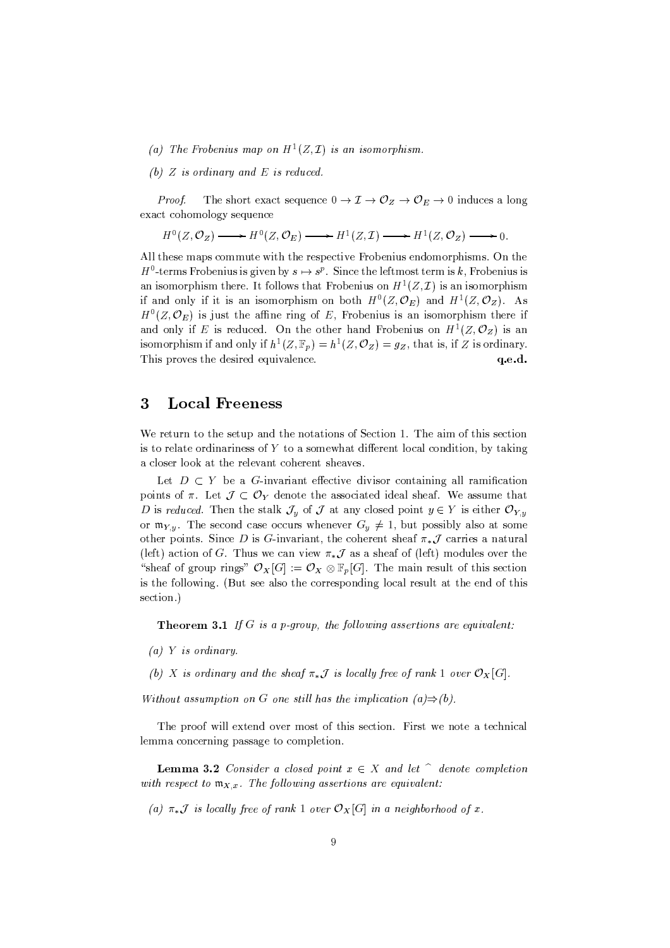- (a) The Frobenius map on  $H^1(Z, \mathcal{I})$  is an isomorphism.
- (b)  $Z$  is ordinary and  $E$  is reduced.

The short exact sequence  $0 \to \mathcal{I} \to \mathcal{O}_Z \to \mathcal{O}_E \to 0$  induces a long Proof. exact cohomology sequence

$$
H^0(Z, \mathcal{O}_Z) \longrightarrow H^0(Z, \mathcal{O}_E) \longrightarrow H^1(Z, \mathcal{I}) \longrightarrow H^1(Z, \mathcal{O}_Z) \longrightarrow 0.
$$

All these maps commute with the respective Frobenius endomorphisms. On the  $H^0$ -terms Frobenius is given by  $s \mapsto s^p$ . Since the leftmost term is k, Frobenius is an isomorphism there. It follows that Frobenius on  $H^1(Z, \mathcal{I})$  is an isomorphism if and only if it is an isomorphism on both  $H^0(Z, \mathcal{O}_E)$  and  $H^1(Z, \mathcal{O}_Z)$ . As  $H^0(Z, \mathcal{O}_E)$  is just the affine ring of E, Frobenius is an isomorphism there if and only if E is reduced. On the other hand Frobenius on  $H^1(Z, \mathcal{O}_Z)$  is an isomorphism if and only if  $h^1(Z, \mathbb{F}_p) = h^1(Z, \mathcal{O}_Z) = g_Z$ , that is, if Z is ordinary. This proves the desired equivalence.  $q.e.d.$ 

#### 3 **Local Freeness**

We return to the setup and the notations of Section 1. The aim of this section is to relate ordinariness of Y to a somewhat different local condition, by taking a closer look at the relevant coherent sheaves.

Let  $D \subset Y$  be a G-invariant effective divisor containing all ramification points of  $\pi$ . Let  $\mathcal{J} \subset \mathcal{O}_Y$  denote the associated ideal sheaf. We assume that D is reduced. Then the stalk  $\mathcal{J}_y$  of  $\mathcal J$  at any closed point  $y \in Y$  is either  $\mathcal{O}_{Y,y}$ or  $\mathfrak{m}_{Y,y}$ . The second case occurs whenever  $G_y \neq 1$ , but possibly also at some other points. Since D is G-invariant, the coherent sheaf  $\pi_*\mathcal{J}$  carries a natural (left) action of G. Thus we can view  $\pi_*\mathcal{J}$  as a sheaf of (left) modules over the "sheaf of group rings"  $\mathcal{O}_X[G] := \mathcal{O}_X \otimes \mathbb{F}_p[G]$ . The main result of this section is the following. (But see also the corresponding local result at the end of this section.)

**Theorem 3.1** If G is a p-group, the following assertions are equivalent:

 $(a)$  Y is ordinary.

(b) X is ordinary and the sheaf  $\pi_*\mathcal{J}$  is locally free of rank 1 over  $\mathcal{O}_X[G]$ .

Without assumption on G one still has the implication  $(a) \Rightarrow (b)$ .

The proof will extend over most of this section. First we note a technical lemma concerning passage to completion.

**Lemma 3.2** Consider a closed point  $x \in X$  and let  $\hat{ }$  denote completion with respect to  $\mathfrak{m}_{X,x}$ . The following assertions are equivalent:

(a)  $\pi_*\mathcal{J}$  is locally free of rank 1 over  $\mathcal{O}_X[G]$  in a neighborhood of x.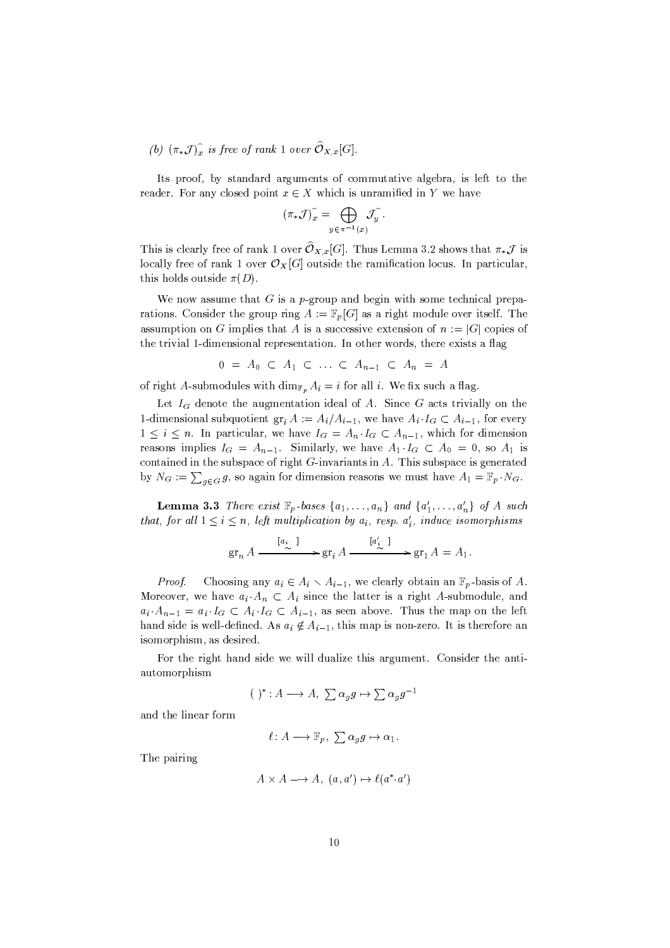(b)  $(\pi_* \mathcal{J})_x^{\hat{}}$  is free of rank 1 over  $\widehat{O}_{X,x}[G].$ 

Its proof, by standard arguments of commutative algebra, is left to the reader. For any closed point  $x \in X$  which is unramified in Y we have

$$
(\pi_* \mathcal{J})_x^{\widehat{}} = \bigoplus_{y \in \pi^{-1}(x)} \mathcal{J}_y^{\widehat{}}.
$$

This is clearly free of rank 1 over  $\widehat{{\mathcal O}}_{X,x}[G].$  Thus Lemma 3.2 shows that  $\pi_*{\mathcal J}$  is locally free of rank 1 over  $\mathcal{O}_X[G]$  outside the ramification locus. In particular, this holds outside  $\pi(D)$ .

We now assume that  $G$  is a p-group and begin with some technical preparations. Consider the group ring  $A := \mathbb{F}_p[G]$  as a right module over itself. The assumption on G implies that A is a successive extension of  $n := |G|$  copies of the trivial 1-dimensional representation. In other words, there exists a flag

$$
0 = A_0 \subset A_1 \subset \ldots \subset A_{n-1} \subset A_n = A
$$

of right A-submodules with  $\dim_{\mathbb{F}_p} A_i = i$  for all i. We fix such a flag.

Let  $I_G$  denote the augmentation ideal of A. Since G acts trivially on the 1-dimensional subquotient  $gr_i A := A_i/A_{i-1}$ , we have  $A_i \cdot I_G \subset A_{i-1}$ , for every  $1 \leq i \leq n$ . In particular, we have  $I_G = A_n \cdot I_G \subset A_{n-1}$ , which for dimension reasons implies  $I_G = A_{n-1}$ . Similarly, we have  $A_1 \cdot I_G \subset A_0 = 0$ , so  $A_1$  is contained in the subspace of right  $G$ -invariants in  $A$ . This subspace is generated by  $N_G := \sum_{q \in G} g$ , so again for dimension reasons we must have  $A_1 = \mathbb{F}_p \cdot N_G$ .

**Lemma 3.3** There exist  $\mathbb{F}_p$  bases  $\{a_1, \ldots, a_n\}$  and  $\{a'_1, \ldots, a'_n\}$  of A such that, for all  $1 \leq i \leq n$ , left multiplication by  $a_i$ , resp.  $a'_i$ , induce isomorphisms

$$
\operatorname{gr}_n A \xrightarrow{\begin{bmatrix} a_i \\ \sim \end{bmatrix}} \operatorname{gr}_i A \xrightarrow{\begin{bmatrix} a'_i \\ \sim \end{bmatrix}} \operatorname{gr}_1 A = A_1.
$$

Proof. Choosing any  $a_i \in A_i \setminus A_{i-1}$ , we clearly obtain an  $\mathbb{F}_p$ -basis of A. Moreover, we have  $a_i \cdot A_n \subset A_i$  since the latter is a right A-submodule, and  $a_i \cdot A_{n-1} = a_i \cdot I_G \subset A_i \cdot I_G \subset A_{i-1}$ , as seen above. Thus the map on the left hand side is well-defined. As  $a_i \notin A_{i-1}$ , this map is non-zero. It is therefore an isomorphism, as desired.

For the right hand side we will dualize this argument. Consider the antiautomorphism

$$
(\ )^{*}\colon A\longrightarrow A,\ \sum\alpha_{g}g\mapsto\sum\alpha_{g}g^{-1}
$$

and the linear form

$$
\ell\colon A\longrightarrow \mathbb{F}_p,\ \sum \alpha_g g\mapsto \alpha_1.
$$

The pairing

$$
A \times A \longrightarrow A, \ (a, a') \mapsto \ell(a^* \cdot a')
$$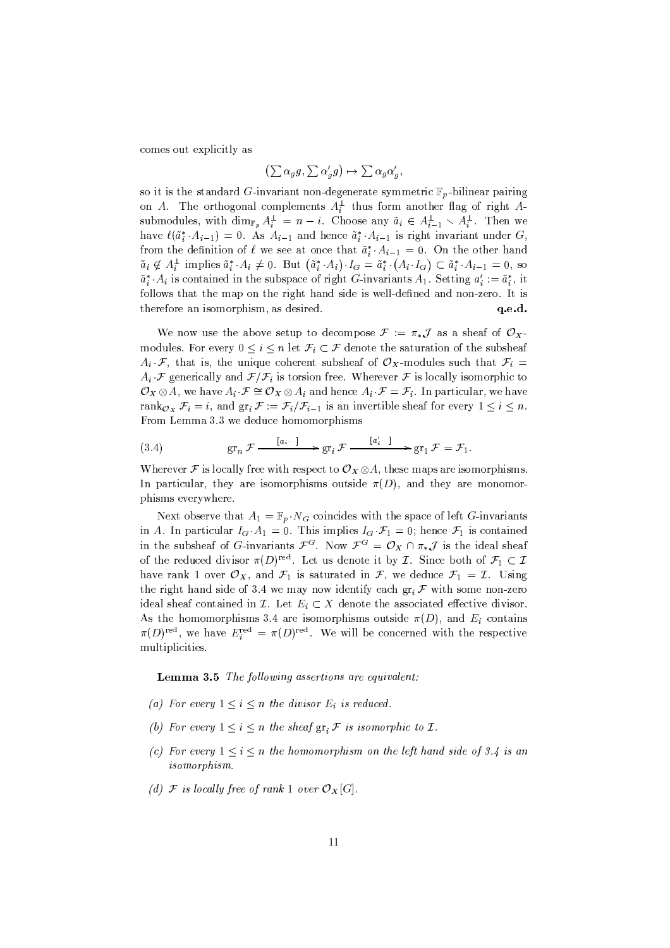comes out explicitly as

$$
\left(\sum \alpha_g g\,,\,\sum \alpha'_g g\right)\,\mapsto\,\sum \alpha_g \alpha'_g,
$$

so it is the standard G-invariant non-degenerate symmetric  $\mathbb{F}_p$ -bilinear pairing on A. The orthogonal complements  $A_i^{\perp}$  thus form another flag of right Asubmodules, with  $\dim_{\mathbb{F}_p} A_i^{\perp} = n - i$ . Choose any  $\tilde{a}_i \in A_{i-1}^{\perp} \setminus A_i^{\perp}$ . Then we have  $\ell(\tilde{a}_i^* \cdot A_{i-1}) = 0$ . As  $A_{i-1}$  and hence  $\tilde{a}_i^* \cdot A_{i-1}$  is right invariant under G, from the definition of  $\ell$  we see at once that  $\tilde{a}_i^* A_{i-1} = 0$ . On the other hand  $\tilde{a}_i \notin A_i^{\perp}$  implies  $\tilde{a}_i^* \cdot A_i \neq 0$ . But  $(\tilde{a}_i^* \cdot A_i) \cdot I_G = \tilde{a}_i^* \cdot (A_i \cdot I_G) \subset \tilde{a}_i^* \cdot A_{i-1} = 0$ , so  $\tilde{a}_i^* A_i$  is contained in the subspace of right G-invariants  $A_1$ . Setting  $a_i' := \tilde{a}_i^*$ , it follows that the map on the right hand side is well-defined and non-zero. It is therefore an isomorphism, as desired.  $q.e.d.$ 

We now use the above setup to decompose  $\mathcal{F} := \pi_* \mathcal{J}$  as a sheaf of  $\mathcal{O}_X$ . modules. For every  $0 \leq i \leq n$  let  $\mathcal{F}_i \subset \mathcal{F}$  denote the saturation of the subsheaf  $A_i \cdot \mathcal{F}$ , that is, the unique coherent subsheaf of  $\mathcal{O}_X$ -modules such that  $\mathcal{F}_i =$  $A_i \mathcal{F}$  generically and  $\mathcal{F}/\mathcal{F}_i$  is torsion free. Wherever  $\mathcal F$  is locally isomorphic to  $\mathcal{O}_X \otimes A$ , we have  $A_i \cdot \mathcal{F} \cong \mathcal{O}_X \otimes A_i$  and hence  $A_i \cdot \mathcal{F} = \mathcal{F}_i$ . In particular, we have rank $o_x$   $\mathcal{F}_i = i$ , and  $gr_i \mathcal{F} := \mathcal{F}_i / \mathcal{F}_{i-1}$  is an invertible sheaf for every  $1 \leq i \leq n$ . From Lemma 3.3 we deduce homomorphisms

(3.4) 
$$
\operatorname{gr}_n \mathcal{F} \xrightarrow{\left[a_i\right]} \operatorname{gr}_i \mathcal{F} \xrightarrow{\left[a'_i\right]} \operatorname{gr}_1 \mathcal{F} = \mathcal{F}_1.
$$

Wherever F is locally free with respect to  $\mathcal{O}_X \otimes A$ , these maps are isomorphisms. In particular, they are isomorphisms outside  $\pi(D)$ , and they are monomorphisms everywhere.

Next observe that  $A_1 = \mathbb{F}_p \cdot N_G$  coincides with the space of left G-invariants in A. In particular  $I_G \cdot A_1 = 0$ . This implies  $I_G \cdot \mathcal{F}_1 = 0$ ; hence  $\mathcal{F}_1$  is contained in the subsheaf of G-invariants  $\mathcal{F}^G$ . Now  $\mathcal{F}^G = \mathcal{O}_X \cap \pi_*\mathcal{J}$  is the ideal sheaf of the reduced divisor  $\pi(D)^{\text{red}}$ . Let us denote it by *I*. Since both of  $\mathcal{F}_1 \subset \mathcal{I}$ have rank 1 over  $\mathcal{O}_X$ , and  $\mathcal{F}_1$  is saturated in  $\mathcal{F}_1$ , we deduce  $\mathcal{F}_1 = \mathcal{I}$ . Using the right hand side of 3.4 we may now identify each  $gr_i \mathcal{F}$  with some non-zero ideal sheaf contained in Z. Let  $E_i \subset X$  denote the associated effective divisor. As the homomorphisms 3.4 are isomorphisms outside  $\pi(D)$ , and  $E_i$  contains  $\pi(D)^{\text{red}}$ , we have  $E_i^{\text{red}} = \pi(D)^{\text{red}}$ . We will be concerned with the respective multiplicities.

**Lemma 3.5** The following assertions are equivalent:

- (a) For every  $1 \leq i \leq n$  the divisor  $E_i$  is reduced.
- (b) For every  $1 \leq i \leq n$  the sheaf  $gr_i \mathcal{F}$  is isomorphic to  $\mathcal{I}$ .
- (c) For every  $1 \leq i \leq n$  the homomorphism on the left hand side of 3.4 is an isom orphism.
- (d) F is locally free of rank 1 over  $\mathcal{O}_X[G]$ .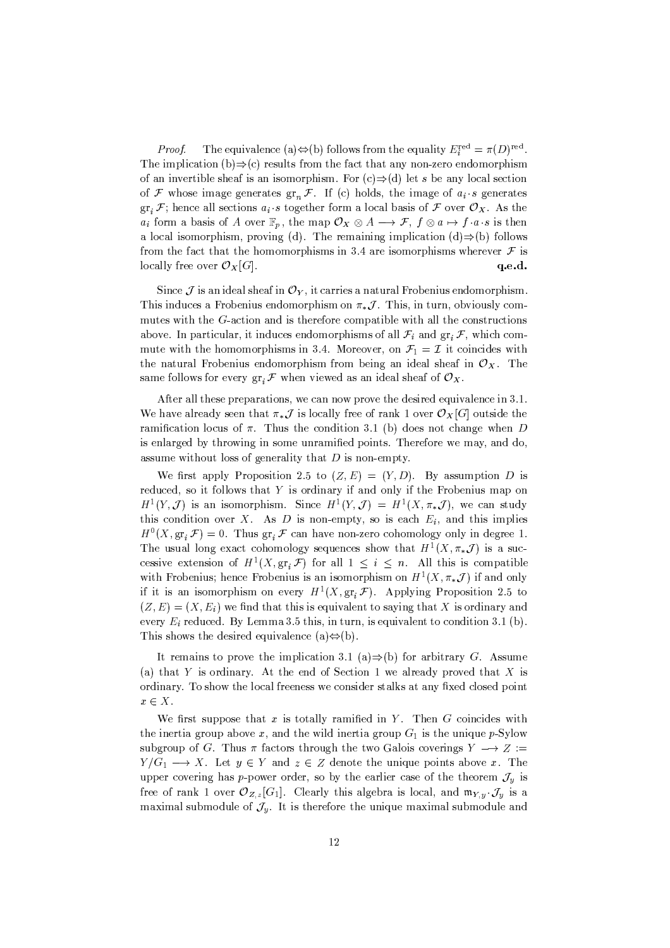The equivalence (a) $\Leftrightarrow$ (b) follows from the equality  $E_i^{\text{red}} = \pi(D)^{\text{red}}$ . Proof. The implication (b) $\Rightarrow$ (c) results from the fact that any non-zero endomorphism of an invertible sheaf is an isomorphism. For  $(c) \Rightarrow (d)$  let s be any local section of F whose image generates  $gr_n \mathcal{F}$ . If (c) holds, the image of  $a_i \cdot s$  generates  $gr_i \mathcal{F}$ ; hence all sections  $a_i \cdot s$  together form a local basis of  $\mathcal F$  over  $\mathcal O_X$ . As the  $a_i$  form a basis of A over  $\mathbb{F}_p$ , the map  $\mathcal{O}_X \otimes A \longrightarrow \mathcal{F}$ ,  $f \otimes a \mapsto f \cdot a \cdot s$  is then a local isomorphism, proving (d). The remaining implication (d)  $\Rightarrow$  (b) follows from the fact that the homomorphisms in 3.4 are isomorphisms wherever  $\mathcal F$  is locally free over  $\mathcal{O}_X[G]$ . q.e.d.

Since  $\mathcal J$  is an ideal sheaf in  $\mathcal O_Y$ , it carries a natural Frobenius endomorphism. This induces a Frobenius endomorphism on  $\pi_*\mathcal{J}$ . This, in turn, obviously commutes with the G-action and is therefore compatible with all the constructions above. In particular, it induces endomorphisms of all  $\mathcal{F}_i$  and  $gr_i \mathcal{F}$ , which commute with the homomorphisms in 3.4. Moreover, on  $\mathcal{F}_1 = \mathcal{I}$  it coincides with the natural Frobenius endomorphism from being an ideal sheaf in  $\mathcal{O}_X$ . The same follows for every  $\operatorname{gr}_i \mathcal F$  when viewed as an ideal sheaf of  $\mathcal O_X$ .

After all these preparations, we can now prove the desired equivalence in 3.1. We have already seen that  $\pi_*\mathcal{J}$  is locally free of rank 1 over  $\mathcal{O}_X[G]$  outside the ramification locus of  $\pi$ . Thus the condition 3.1 (b) does not change when D is enlarged by throwing in some unramified points. Therefore we may, and do, assume without loss of generality that  $D$  is non-empty.

We first apply Proposition 2.5 to  $(Z, E) = (Y, D)$ . By assumption D is reduced, so it follows that  $Y$  is ordinary if and only if the Frobenius map on  $H^1(Y, \mathcal{J})$  is an isomorphism. Since  $H^1(Y, \mathcal{J}) = H^1(X, \pi_*\mathcal{J})$ , we can study this condition over  $X$ . As  $D$  is non-empty, so is each  $E_i$ , and this implies  $H^0(X, \text{gr}_i \mathcal{F}) = 0$ . Thus  $\text{gr}_i \mathcal{F}$  can have non-zero cohomology only in degree 1. The usual long exact cohomology sequences show that  $H^1(X, \pi_*\mathcal{J})$  is a successive extension of  $H^1(X, \text{gr}_i \mathcal{F})$  for all  $1 \leq i \leq n$ . All this is compatible with Frobenius; hence Frobenius is an isomorphism on  $H^1(X, \pi_* \mathcal{J})$  if and only if it is an isomorphism on every  $H^1(X, \text{gr}_i \mathcal{F})$ . Applying Proposition 2.5 to  $(Z, E) = (X, E_i)$  we find that this is equivalent to saying that X is ordinary and every  $E_i$  reduced. By Lemma 3.5 this, in turn, is equivalent to condition 3.1 (b). This shows the desired equivalence (a) $\Leftrightarrow$ (b).

It remains to prove the implication 3.1 (a)  $\Rightarrow$  (b) for arbitrary G. Assume (a) that Y is ordinary. At the end of Section 1 we already proved that X is ordinary. To show the local freeness we consider stalks at any fixed closed point  $x \in X$ .

We first suppose that  $x$  is totally ramified in  $Y$ . Then  $G$  coincides with the inertia group above  $x$ , and the wild inertia group  $G_1$  is the unique p-Sylow subgroup of G. Thus  $\pi$  factors through the two Galois coverings  $Y \longrightarrow Z :=$  $Y/G_1 \longrightarrow X$ . Let  $y \in Y$  and  $z \in Z$  denote the unique points above x. The upper covering has p-power order, so by the earlier case of the theorem  $\mathcal{J}_y$  is free of rank 1 over  $\mathcal{O}_{Z, z}[G_1]$ . Clearly this algebra is local, and  $\mathfrak{m}_{Y, y} \cdot \mathcal{J}_y$  is a maximal submodule of  $\mathcal{J}_y$ . It is therefore the unique maximal submodule and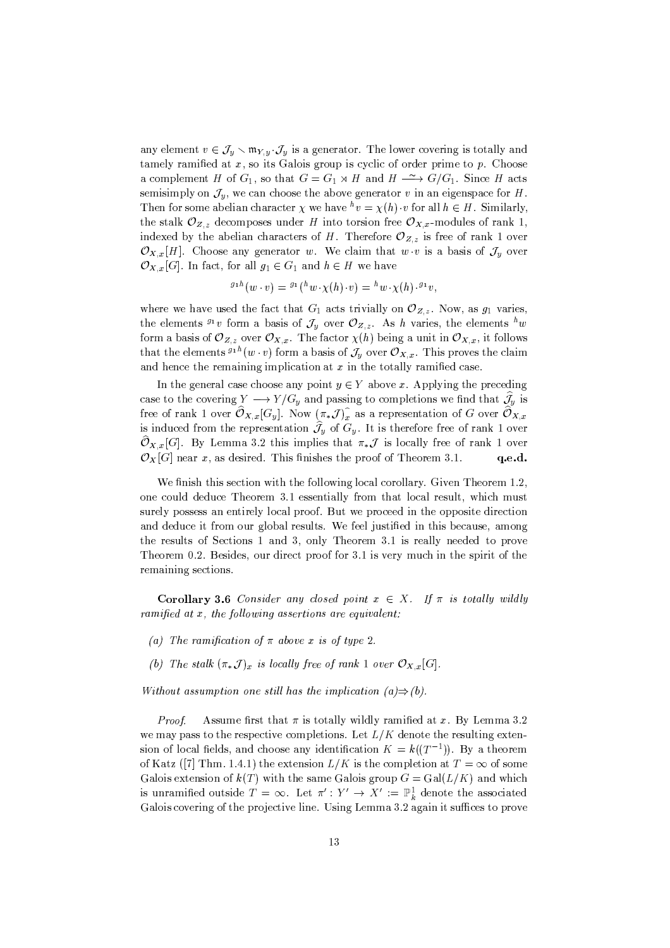any element  $v \in \mathcal{J}_y \setminus \mathfrak{m}_{Y,y} \cdot \mathcal{J}_y$  is a generator. The lower covering is totally and tamely ramified at  $x$ , so its Galois group is cyclic of order prime to  $p$ . Choose a complement H of  $G_1$ , so that  $G = G_1 \rtimes H$  and  $H \xrightarrow{\sim} G/G_1$ . Since H acts semisimply on  $\mathcal{J}_u$ , we can choose the above generator v in an eigenspace for H. Then for some abelian character  $\chi$  we have  ${}^h v = \chi(h) \cdot v$  for all  $h \in H$ . Similarly, the stalk  $\mathcal{O}_{Z,z}$  decomposes under H into torsion free  $\mathcal{O}_{X,x}$ -modules of rank 1, indexed by the abelian characters of H. Therefore  ${\mathcal O}_{Z,z}$  is free of rank 1 over  $\mathcal{O}_{X,x}[H]$ . Choose any generator w. We claim that  $w \cdot v$  is a basis of  $\mathcal{J}_y$  over  $\mathcal{O}_{X,x}[G]$ . In fact, for all  $g_1 \in G_1$  and  $h \in H$  we have

$$
^{g_1h}(w\cdot v)= {}^{g_1}(^hw\cdot \chi(h)\cdot v)={}^hw\cdot \chi(h)\cdot {}^{g_1}v,
$$

where we have used the fact that  $G_1$  acts trivially on  $\mathcal{O}_{Z,z}$ . Now, as  $g_1$  varies, the elements  $g_1 v$  form a basis of  $\mathcal{J}_y$  over  $\mathcal{O}_{Z,z}$ . As h varies, the elements  $h w$ form a basis of  $\mathcal{O}_{Z,z}$  over  $\mathcal{O}_{X,x}$ . The factor  $\chi(h)$  being a unit in  $\mathcal{O}_{X,x}$ , it follows that the elements  ${}^{g_1h}(w \cdot v)$  form a basis of  $\mathcal{J}_y$  over  $\mathcal{O}_{X,x}$ . This proves the claim and hence the remaining implication at  $x$  in the totally ramified case.

In the general case choose any point  $y \in Y$  above x. Applying the preceding case to the covering  $Y \longrightarrow Y/G_y$  and passing to completions we find that  $\widehat{J}_y$  is free of rank 1 over  $\widehat{{\mathcal O}}_{X,x}[G_y]$ . Now  $(\pi_*{\mathcal J})_x^\widehat{\,}$  as a representation of  $G$  over  $\widehat{{\mathcal O}}_{X,x}$ is induced from the representation  $\hat{J}_y$  of  $G_y$ . It is therefore free of rank 1 over  $\widehat{{\mathcal O}}_{X,x}[G].$  By Lemma 3.2 this implies that  $\pi_*{\mathcal J}$  is locally free of rank 1 over  $\mathcal{O}_X[G]$  near x, as desired. This finishes the proof of Theorem 3.1. q.e.d.

We finish this section with the following local corollary. Given Theorem 1.2, one could deduce Theorem 3.1 essentially from that local result, which must surely possess an entirely local proof. But we proceed in the opposite direction and deduce it from our global results. We feel justified in this because, among the results of Sections 1 and 3, only Theorem 3.1 is really needed to prove Theorem 0.2. Besides, our direct proof for 3.1 is very much in the spirit of the remaining sections.

**Corollary 3.6** Consider any closed point  $x \in X$ . If  $\pi$  is totally wildly ramified at  $x$ , the following assertions are equivalent:

- (a) The ramification of  $\pi$  above x is of type 2.
- (b) The stalk  $(\pi_* \mathcal{J})_x$  is locally free of rank 1 over  $\mathcal{O}_{X,x}[G]$ .

Without assumption one still has the implication  $(a) \Rightarrow (b)$ .

Assume first that  $\pi$  is totally wildly ramified at x. By Lemma 3.2 Proof. we may pass to the respective completions. Let  $L/K$  denote the resulting extension of local fields, and choose any identification  $K = k((T^{-1}))$ . By a theorem of Katz ([7] Thm. 1.4.1) the extension  $L/K$  is the completion at  $T = \infty$  of some Galois extension of  $k(T)$  with the same Galois group  $G = Gal(L/K)$  and which is unramified outside  $T = \infty$ . Let  $\pi' : Y' \to X' := \mathbb{P}^1_k$  denote the associated Galois covering of the projective line. Using Lemma 3.2 again it suffices to prove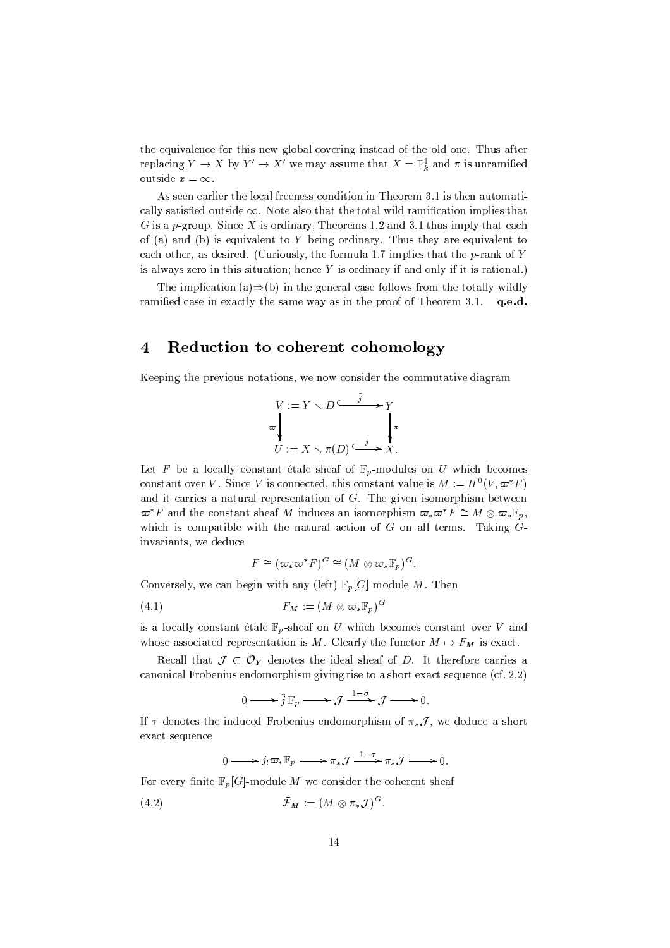the equivalence for this new global covering instead of the old one. Thus after replacing  $Y \to X$  by  $Y' \to X'$  we may assume that  $X = \mathbb{P}^1_k$  and  $\pi$  is unramified outside  $x = \infty$ .

As seen earlier the local freeness condition in Theorem 3.1 is then automatically satisfied outside  $\infty$ . Note also that the total wild ramification implies that G is a p-group. Since X is ordinary, Theorems 1.2 and 3.1 thus imply that each of (a) and (b) is equivalent to  $Y$  being ordinary. Thus they are equivalent to each other, as desired. (Curiously, the formula 1.7 implies that the  $p$ -rank of Y is always zero in this situation; hence  $Y$  is ordinary if and only if it is rational.)

The implication (a) $\Rightarrow$ (b) in the general case follows from the totally wildly ramified case in exactly the same way as in the proof of Theorem  $3.1.$  q.e.d.

#### Reduction to coherent cohomology  $\overline{4}$

Keeping the previous notations, we now consider the commutative diagram

$$
V := Y \setminus D \xrightarrow{\tilde{j}} Y
$$
  
\n
$$
\downarrow \qquad \qquad \downarrow \qquad \qquad \downarrow \qquad \qquad \downarrow \qquad \downarrow
$$
  
\n
$$
U := X \setminus \pi(D) \xrightarrow{\tilde{j}} X.
$$

Let F be a locally constant étale sheaf of  $\mathbb{F}_p$ -modules on U which becomes constant over V. Since V is connected, this constant value is  $M := H^0(V, \varpi^* F)$ and it carries a natural representation of  $G$ . The given isomorphism between  $\varpi^* F$  and the constant sheaf M induces an isomorphism  $\varpi_* \varpi^* F \cong M \otimes \varpi_* \mathbb{F}_n$ , which is compatible with the natural action of  $G$  on all terms. Taking  $G$ invariants, we deduce

$$
F \cong (\varpi_*\varpi^*F)^G \cong (M \otimes \varpi_*\mathbb{F}_p)^G
$$

Conversely, we can begin with any (left)  $\mathbb{F}_p[G]$ -module M. Then

$$
(4.1) \tF_M := (M \otimes \varpi_* \mathbb{F}_p)^G
$$

is a locally constant étale  $\mathbb{F}_p$ -sheaf on U which becomes constant over V and whose associated representation is M. Clearly the functor  $M \mapsto F_M$  is exact.

Recall that  $\mathcal{J} \subset \mathcal{O}_Y$  denotes the ideal sheaf of D. It therefore carries a canonical Frobenius endomorphism giving rise to a short exact sequence (cf. 2.2)

$$
0 \longrightarrow \tilde{j}_! \mathbb{F}_p \longrightarrow \mathcal{J} \xrightarrow{1-\sigma} \mathcal{J} \longrightarrow 0.
$$

If  $\tau$  denotes the induced Frobenius endomorphism of  $\pi_* \mathcal{J}$ , we deduce a short exact sequence

$$
0 \longrightarrow j_{!}\varpi_{*}\mathbb{F}_{p} \longrightarrow \pi_{*}\mathcal{J} \longrightarrow \pi_{*}\mathcal{J} \longrightarrow 0.
$$

For every finite  $\mathbb{F}_p[G]$ -module M we consider the coherent sheaf

$$
(4.2) \t\t \bar{\mathcal{F}}_M := (M \otimes \pi_* \mathcal{J})^G.
$$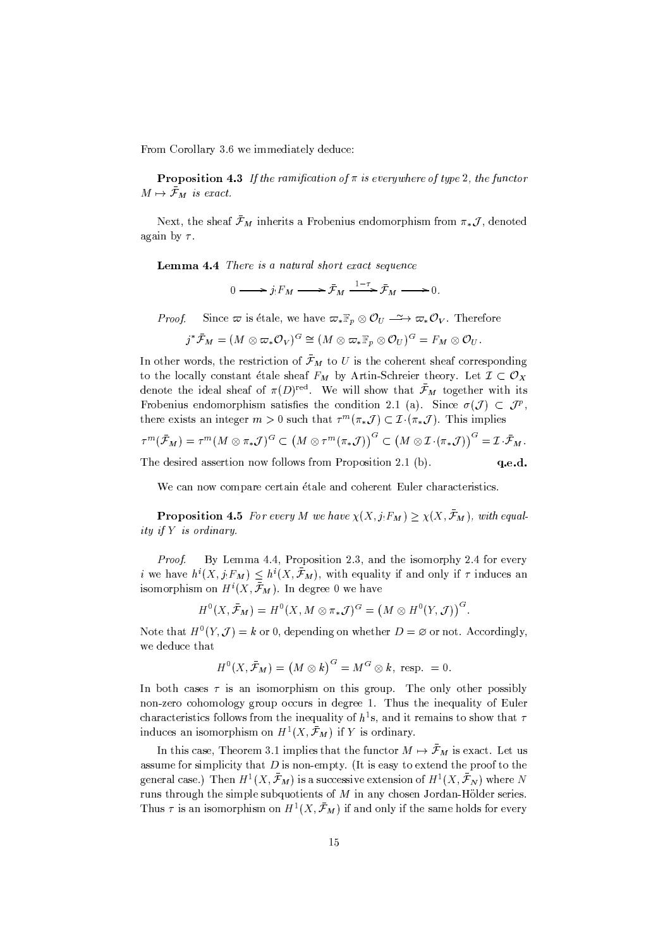From Corollary 3.6 we immediately deduce:

**Proposition 4.3** If the ramification of  $\pi$  is everywhere of type 2, the functor  $M \mapsto \bar{\mathcal{F}}_M$  is exact.

Next, the sheaf  $\bar{\mathcal{F}}_M$  inherits a Frobenius endomorphism from  $\pi_* \mathcal{J}$ , denoted again by  $\tau$ .

Lemma 4.4 There is a natural short exact sequence

$$
0 \longrightarrow j_! F_M \longrightarrow \bar{\mathcal{F}}_M \xrightarrow{1-\tau} \bar{\mathcal{F}}_M \longrightarrow 0.
$$

Since  $\varpi$  is étale, we have  $\varpi_* \mathbb{F}_p \otimes \mathcal{O}_U \longrightarrow \varpi_* \mathcal{O}_V$ . Therefore Proof.

$$
j^*\bar{\mathcal{F}}_M=(M\otimes \varpi_*\mathcal{O}_V)^G\cong (M\otimes \varpi_*\mathbb{F}_p\otimes \mathcal{O}_U)^G=F_M\otimes \mathcal{O}_U
$$

In other words, the restriction of  $\bar{\mathcal{F}}_M$  to U is the coherent sheaf corresponding to the locally constant étale sheaf  $F_M$  by Artin-Schreier theory. Let  $\mathcal{I} \subset \mathcal{O}_X$ denote the ideal sheaf of  $\pi(D)^{\text{red}}$ . We will show that  $\bar{\mathcal{F}}_M$  together with its Frobenius endomorphism satisfies the condition 2.1 (a). Since  $\sigma(\mathcal{J}) \subset \mathcal{J}^p$ , there exists an integer  $m > 0$  such that  $\tau^m(\pi_* \mathcal{J}) \subset \mathcal{I}(\pi_* \mathcal{J})$ . This implies  $\sim$ 

$$
\tau^m(\mathcal{F}_M) = \tau^m(M \otimes \pi_* \mathcal{J})^G \subset (M \otimes \tau^m(\pi_* \mathcal{J}))^G \subset (M \otimes \mathcal{I} \cdot (\pi_* \mathcal{J}))^G = \mathcal{I} \cdot \mathcal{F}_M.
$$
  
The desired assertion now follows from Proposition 2.1 (b).  
**q.e.d.**

We can now compare certain étale and coherent Euler characteristics.

**Proposition 4.5** For every M we have  $\chi(X, j_!F_M) \geq \chi(X, \bar{\mathcal{F}}_M)$ , with equality if Y is ordinary.

By Lemma 4.4, Proposition 2.3, and the isomorphy 2.4 for every Proof. *i* we have  $h^i(X, j_!F_M) \leq h^i(X, \bar{\mathcal{F}}_M)$ , with equality if and only if  $\tau$  induces an isomorphism on  $H^i(X, \bar{\mathcal{F}}_M)$ . In degree 0 we have

$$
H^{0}(X,\bar{\mathcal{F}}_{M})=H^{0}(X, M\otimes \pi_{*}\mathcal{J})^{G}=\left(M\otimes H^{0}(Y, \mathcal{J})\right)^{G}.
$$

Note that  $H^0(Y, \mathcal{J}) = k$  or 0, depending on whether  $D = \emptyset$  or not. Accordingly, we deduce that

$$
H^{0}(X, \bar{\mathcal{F}}_{M}) = (M \otimes k)^{G} = M^{G} \otimes k, \text{ resp. } = 0.
$$

In both cases  $\tau$  is an isomorphism on this group. The only other possibly non-zero cohomology group occurs in degree 1. Thus the inequality of Euler characteristics follows from the inequality of  $h^1$ s, and it remains to show that  $\tau$ induces an isomorphism on  $H^1(X,\bar{\mathcal{F}}_M)$  if Y is ordinary.

In this case, Theorem 3.1 implies that the functor  $M \mapsto \bar{\mathcal{F}}_M$  is exact. Let us assume for simplicity that  $D$  is non-empty. (It is easy to extend the proof to the general case.) Then  $H^1(X,\bar{\mathcal{F}}_M)$  is a successive extension of  $H^1(X,\bar{\mathcal{F}}_N)$  where N runs through the simple subquotients of  $M$  in any chosen Jordan-Hölder series. Thus  $\tau$  is an isomorphism on  $H^1(X, \bar{\mathcal{F}}_M)$  if and only if the same holds for every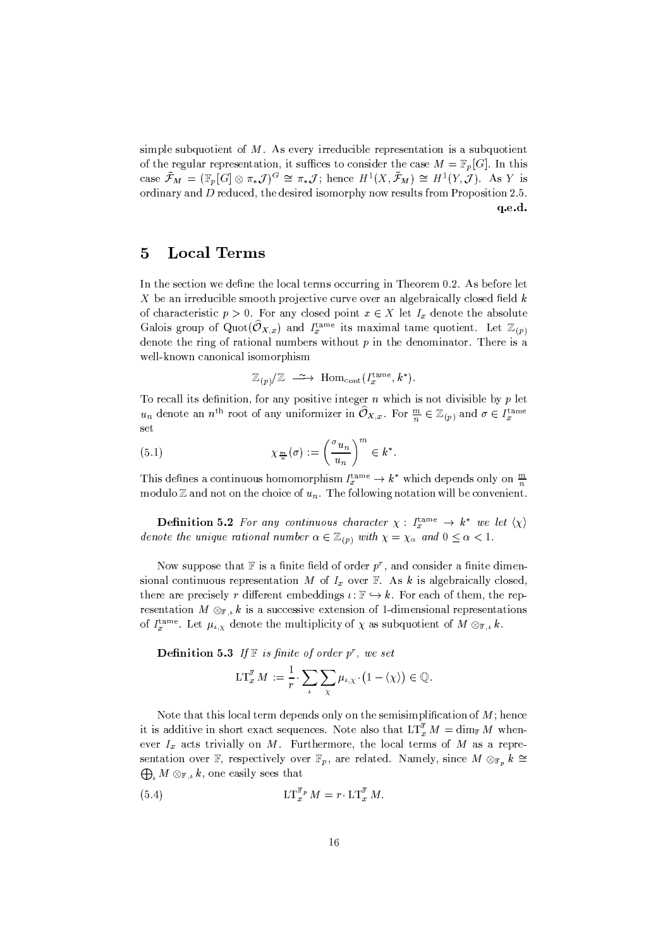simple subquotient of  $M$ . As every irreducible representation is a subquotient of the regular representation, it suffices to consider the case  $M = \mathbb{F}_p[G]$ . In this case  $\bar{\mathcal{F}}_M = (\mathbb{F}_p[G] \otimes \pi_*\mathcal{J})^G \cong \pi_*\mathcal{J}$ ; hence  $H^1(X, \bar{\mathcal{F}}_M) \cong H^1(Y, \mathcal{J})$ . As Y is ordinary and  $D$  reduced, the desired isomorphy now results from Proposition 2.5. q.e.d.

#### **Local Terms**  $\overline{5}$

In the section we define the local terms occurring in Theorem 0.2. As before let  $X$  be an irreducible smooth projective curve over an algebraically closed field  $k$ of characteristic  $p > 0$ . For any closed point  $x \in X$  let  $I_x$  denote the absolute Galois group of Quot $(\widehat{O}_{X,x})$  and  $I_x^{\text{tame}}$  its maximal tame quotient. Let  $\mathbb{Z}_{(p)}$ denote the ring of rational numbers without  $p$  in the denominator. There is a well-known canonical isomorphism

$$
\mathbb{Z}_{(p)}/\mathbb{Z} \longrightarrow \text{Hom}_{\text{cont}}(I_x^{\text{tame}}, k^*)
$$

To recall its definition, for any positive integer  $n$  which is not divisible by  $p$  let  $u_n$  denote an  $n^{\text{th}}$  root of any uniformizer in  $\widehat{O}_{X,x}$ . For  $\frac{m}{n} \in \mathbb{Z}_{(p)}$  and  $\sigma \in I_x^{\text{tame}}$ set

(5.1) 
$$
\chi_{\frac{m}{n}}(\sigma) := \left(\frac{\sigma_{u_n}}{u_n}\right)^m \in k^*
$$

This defines a continuous homomorphism  $I_x^{\text{tame}} \to k^*$  which depends only on  $\frac{m}{n}$ modulo  $\mathbb Z$  and not on the choice of  $u_n$ . The following notation will be convenient.

**Definition 5.2** For any continuous character  $\chi$ :  $I_x^{\text{tame}} \to k^*$  we let  $\langle \chi \rangle$ denote the unique rational number  $\alpha \in \mathbb{Z}_{(p)}$  with  $\chi = \chi_{\alpha}$  and  $0 \leq \alpha < 1$ .

Now suppose that  $\mathbb F$  is a finite field of order  $p^r$ , and consider a finite dimensional continuous representation M of  $I_x$  over  $\mathbb F$ . As k is algebraically closed, there are precisely r different embeddings  $\iota : \mathbb{F} \hookrightarrow k$ . For each of them, the representation  $M \otimes_{\mathbb{F}_k} k$  is a successive extension of 1-dimensional representations of  $I_x^{\text{tame}}$ . Let  $\mu_{i,X}$  denote the multiplicity of  $\chi$  as subquotient of  $M \otimes_{\mathbb{F},i} k$ .

**Definition 5.3** If  $\mathbb F$  is finite of order  $p^r$ , we set

$$
\mathop{\rm LT}\nolimits_x^{\mathbb{F}} M := \frac{1}{r} \cdot \sum_{\iota} \sum_{\chi} \mu_{\iota,\chi} \cdot \big(1 - \langle \chi \rangle \big) \in \mathbb{Q}.
$$

Note that this local term depends only on the semisimplification of  $M$ ; hence it is additive in short exact sequences. Note also that  $LT_x^{\mathbb{F}} M = \dim_{\mathbb{F}} M$  whenever  $I_x$  acts trivially on M. Furthermore, the local terms of M as a representation over F, respectively over  $\mathbb{F}_p$ , are related. Namely, since  $M \otimes_{\mathbb{F}_p} k \cong$  $\bigoplus_{i} M \otimes_{\mathbb{F},i} k$ , one easily sees that

$$
\mathop{\rm LT}\nolimits_x^{\mathbb{F}_p} M = r \cdot \mathop{\rm LT}\nolimits_x^{\mathbb{F}_p} M.
$$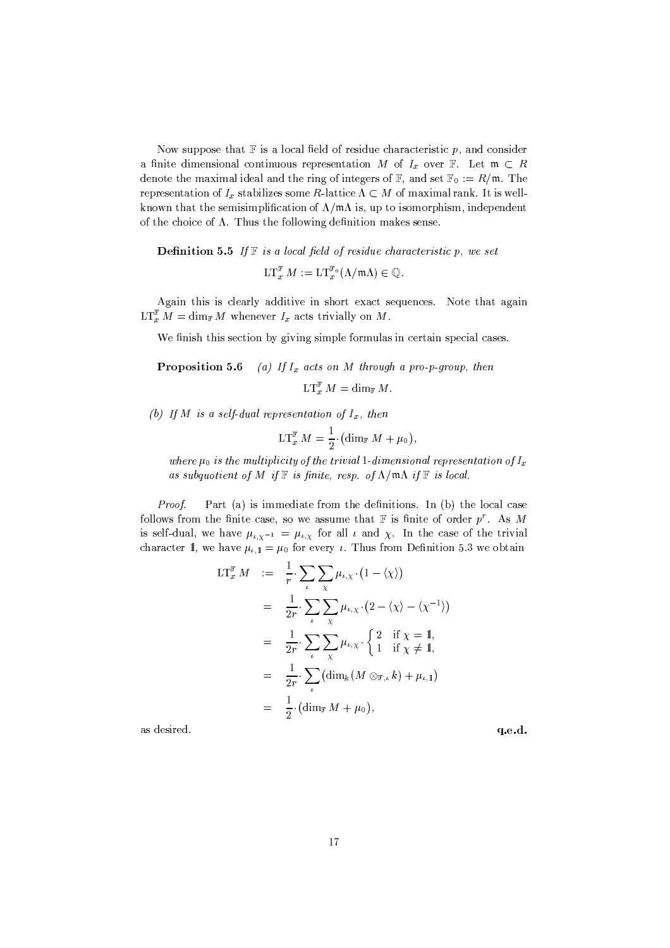Now suppose that  $\mathbb F$  is a local field of residue characteristic p, and consider a finite dimensional continuous representation M of  $I_x$  over F. Let  $\mathfrak{m} \subset R$ denote the maximal ideal and the ring of integers of  $\mathbb{F}$ , and set  $\mathbb{F}_0 := R/\mathfrak{m}$ . The representation of  $I_x$  stabilizes some R-lattice  $\Lambda \subset M$  of maximal rank. It is wellknown that the semisimplification of  $\Lambda/\mathfrak{m}\Lambda$  is, up to isomorphism, independent of the choice of  $\Lambda$ . Thus the following definition makes sense.

**Definition 5.5** If  $\mathbb F$  is a local field of residue characteristic p, we set

 $LT_x^{\mathbb{F}} M := LT_x^{\mathbb{F}_0}(\Lambda/\mathfrak{m}\Lambda) \in \mathbb{Q}$ .

Again this is clearly additive in short exact sequences. Note that again  $LT_x^{\mathbb{F}} M = \dim_{\mathbb{F}} M$  whenever  $I_x$  acts trivially on M.

We finish this section by giving simple formulas in certain special cases.

Proposition 5.6 (a) If  $I_x$  acts on M through a pro-p-group, then

 $LT_{x}^{\mathbb{F}} M = \dim_{\mathbb{F}} M.$ 

(b) If M is a self-dual representation of  $I_x$ , then

$$
\mathop{\rm LT}\nolimits_x^{\mathbb{F}} M = \frac{1}{2} \cdot \bigl( \dim_{\mathbb{F}} M + \mu_0 \bigr),
$$

where  $\mu_0$  is the multiplicity of the trivial 1-dimensional representation of  $I_x$ as subquotient of M if  $\mathbb F$  is finite, resp. of  $\Lambda/\mathfrak{m}\Lambda$  if  $\mathbb F$  is local.

Proof. Part (a) is immediate from the definitions. In (b) the local case follows from the finite case, so we assume that  $\mathbb F$  is finite of order  $p^r$ . As M is self-dual, we have  $\mu_{\iota,\chi^{-1}} = \mu_{\iota,\chi}$  for all  $\iota$  and  $\chi$ . In the case of the trivial character 1, we have  $\mu_{i,1} = \mu_0$  for every *i*. Thus from Definition 5.3 we obtain

$$
LT_x^{\mathbb{F}} M := \frac{1}{r} \sum_{\iota} \sum_{\chi} \mu_{\iota, \chi} \cdot (1 - \langle \chi \rangle)
$$
  
\n
$$
= \frac{1}{2r} \sum_{\iota} \sum_{\chi} \mu_{\iota, \chi} \cdot (2 - \langle \chi \rangle - \langle \chi^{-1} \rangle)
$$
  
\n
$$
= \frac{1}{2r} \sum_{\iota} \sum_{\chi} \mu_{\iota, \chi} \cdot \begin{cases} 2 & \text{if } \chi = 1, \\ 1 & \text{if } \chi \neq 1, \end{cases}
$$
  
\n
$$
= \frac{1}{2r} \sum_{\iota} \left( \dim_k (M \otimes_{\mathbb{F}, \iota} k) + \mu_{\iota, 1} \right)
$$
  
\n
$$
= \frac{1}{2} \cdot (\dim_{\mathbb{F}} M + \mu_0),
$$

as desired.

q.e.d.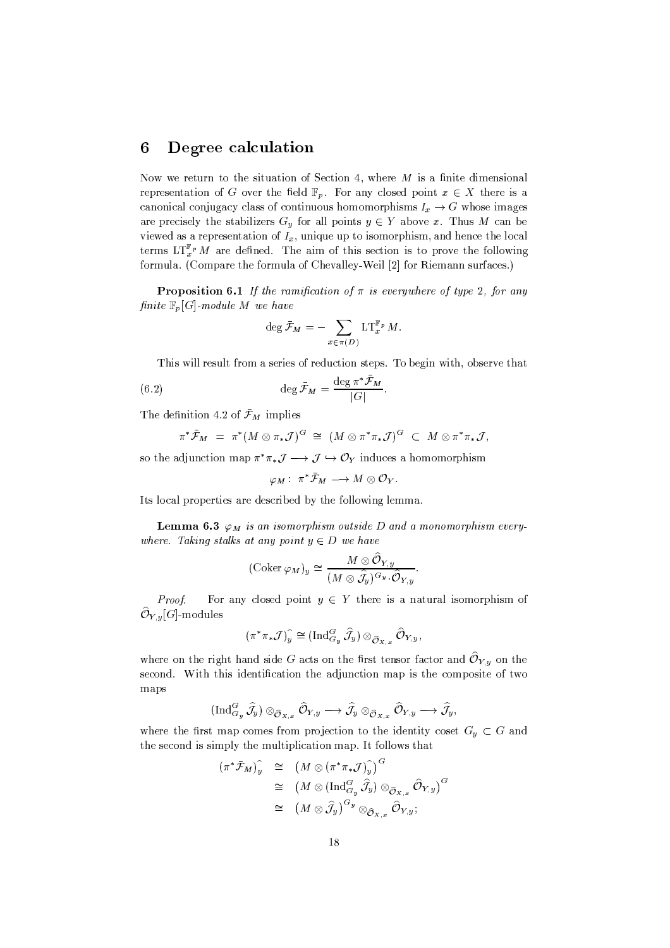#### Degree calculation 6

Now we return to the situation of Section 4, where  $M$  is a finite dimensional representation of G over the field  $\mathbb{F}_p$ . For any closed point  $x \in X$  there is a canonical conjugacy class of continuous homomorphisms  $I_x \to G$  whose images are precisely the stabilizers  $G_y$  for all points  $y \in Y$  above x. Thus M can be viewed as a representation of  $I_x$ , unique up to isomorphism, and hence the local terms  $LT_x^{\mathbb{F}_p} M$  are defined. The aim of this section is to prove the following formula. (Compare the formula of Chevalley-Weil [2] for Riemann surfaces.)

**Proposition 6.1** If the ramification of  $\pi$  is everywhere of type 2, for any finite  $\mathbb{F}_n[G]$ -module M we have

$$
\deg \bar{\mathcal{F}}_M = - \sum_{x \in \pi(D)} \mathop{\rm LT}\nolimits_x^{\mathbb{F}_p} M
$$

This will result from a series of reduction steps. To begin with, observe that

(6.2) 
$$
\deg \bar{\mathcal{F}}_M = \frac{\deg \pi^* \bar{\mathcal{F}}_M}{|G|}
$$

The definition 4.2 of  $\bar{\mathcal{F}}_M$  implies

$$
\pi^* \bar{\mathcal{F}}_M = \pi^* (M \otimes \pi_* \mathcal{J})^G \cong (M \otimes \pi^* \pi_* \mathcal{J})^G \subset M \otimes \pi^* \pi_* \mathcal{J},
$$

so the adjunction map  $\pi^* \pi_* \mathcal{J} \longrightarrow \mathcal{J} \hookrightarrow \mathcal{O}_Y$  induces a homomorphism

 $\varphi_M: \pi^* \bar{\mathcal{F}}_M \longrightarrow M \otimes \mathcal{O}_Y.$ 

Its local properties are described by the following lemma.

**Lemma 6.3**  $\varphi_M$  is an isomorphism outside D and a monomorphism everywhere. Taking stalks at any point  $y \in D$  we have

$$
(\mathrm{Coker}\,\varphi_M)_y\cong \frac{M\otimes \hat{\mathcal{O}}_{Y,y}}{(M\otimes \hat{\mathcal{J}}_y)^{G_y}\cdot \hat{\mathcal{O}}_{Y,y}}
$$

For any closed point  $y \in Y$  there is a natural isomorphism of Proof.  $\widehat{\mathcal{O}}_{Y,y}[G]\text{-modules}$ 

$$
(\pi^*\pi_*\mathcal{J})_y^{\widehat{\ }} \cong (\operatorname{Ind}_{G_y}^G\widehat{\mathcal{J}}_y) \otimes_{\widehat{\mathcal{O}}_{X,x}} \widehat{\mathcal{O}}_{Y,y},
$$

where on the right hand side G acts on the first tensor factor and  $\mathcal{O}_{Y,y}$  on the second. With this identification the adjunction map is the composite of two maps

$$
(\operatorname{Ind}^G_{G_y}\widehat{\mathcal{J}}_y)\otimes_{\widehat{{\mathcal O}}_{X,x}} \widehat{{\mathcal O}}_{Y,y} \longrightarrow \widehat{\mathcal{J}}_y\otimes_{\widehat{{\mathcal O}}_{X,x}} \widehat{{\mathcal O}}_{Y,y} \longrightarrow \widehat{\mathcal{J}}_y,
$$

where the first map comes from projection to the identity coset  $G_y \subset G$  and the second is simply the multiplication map. It follows that

$$
\begin{array}{rcl}\n(\pi^*\bar{\mathcal{F}}_M)_{y}^{\widehat{\ }} & \cong & \left(M\otimes(\pi^*\pi_*\mathcal{J})_{y}^{\widehat{\ }}\right)^{G} \\
& \cong & \left(M\otimes(\operatorname{Ind}^G_{G_y}\widehat{\mathcal{J}}_y)\otimes_{\widehat{\mathcal{O}}_{X,x}}\widehat{\mathcal{O}}_{Y,y}\right)^{G} \\
& \cong & \left(M\otimes\widehat{\mathcal{J}}_y\right)^{G_y}\otimes_{\widehat{\mathcal{O}}_{X,x}}\widehat{\mathcal{O}}_{Y,y};\n\end{array}
$$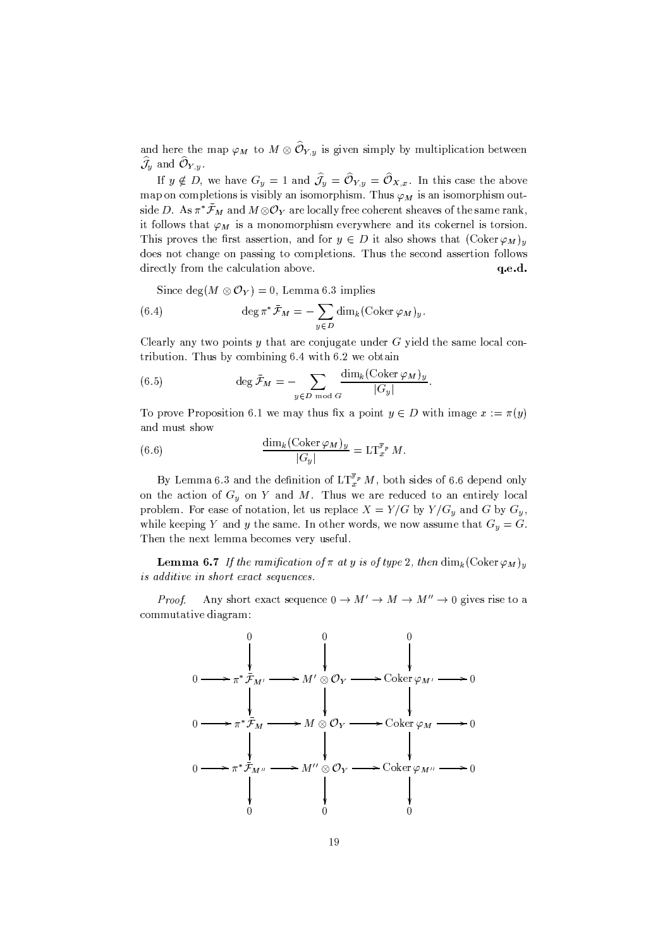and here the map  $\varphi_M$  to  $M \otimes \widehat{\mathcal{O}}_{Y,y}$  is given simply by multiplication between  $\widehat{\mathcal{J}}_y$  and  $\widehat{\mathcal{O}}_{Y,y}$ .

If  $y \notin D$ , we have  $G_y = 1$  and  $\hat{J}_y = \hat{\mathcal{O}}_{Y,y} = \hat{\mathcal{O}}_{X,x}$ . In this case the above map on completions is visibly an isomorphism. Thus  $\varphi_M$  is an isomorphism outside D. As  $\pi^* \bar{\mathcal{F}}_M$  and  $M \otimes \mathcal{O}_Y$  are locally free coherent sheaves of the same rank, it follows that  $\varphi_M$  is a monomorphism everywhere and its cokernel is torsion. This proves the first assertion, and for  $y \in D$  it also shows that  $(\text{Coker }\varphi_M)_y$ does not change on passing to completions. Thus the second assertion follows directly from the calculation above. q.e.d.

Since  $\deg(M \otimes \mathcal{O}_Y) = 0$ , Lemma 6.3 implies

(6.4) 
$$
\deg \pi^* \bar{\mathcal{F}}_M = - \sum_{y \in D} \dim_k (\mathrm{Coker} \, \varphi_M)_y.
$$

Clearly any two points  $y$  that are conjugate under  $G$  yield the same local contribution. Thus by combining 6.4 with 6.2 we obtain

(6.5) 
$$
\deg \bar{\mathcal{F}}_M = -\sum_{y \in D \bmod G} \frac{\dim_k (\operatorname{Coker} \varphi_M)_y}{|G_y|}
$$

To prove Proposition 6.1 we may thus fix a point  $y \in D$  with image  $x := \pi(y)$ and must show

(6.6) 
$$
\frac{\dim_k(\operatorname{Coker} \varphi_M)_y}{|G_y|} = \operatorname{LT}_x^{\mathbb{F}_p} M.
$$

By Lemma 6.3 and the definition of  $LT_x^{\mathbb{F}_p} M$ , both sides of 6.6 depend only on the action of  $G_y$  on Y and M. Thus we are reduced to an entirely local problem. For ease of notation, let us replace  $X = Y/G$  by  $Y/G_y$  and G by  $G_y$ , while keeping Y and y the same. In other words, we now assume that  $G_y = G$ . Then the next lemma becomes very useful.

**Lemma 6.7** If the ramification of  $\pi$  at y is of type 2, then  $\dim_k(\text{Coker }\varphi_M)_n$ is additive in short exact sequences.

Any short exact sequence  $0 \to M' \to M \to M'' \to 0$  gives rise to a Proof. commutative diagram:

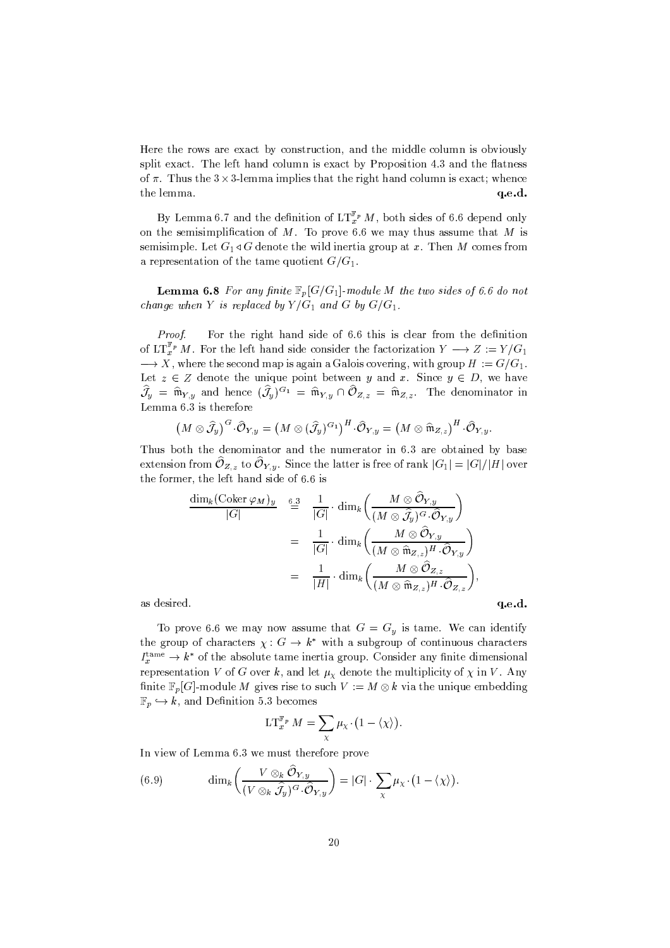Here the rows are exact by construction, and the middle column is obviously split exact. The left hand column is exact by Proposition 4.3 and the flatness of  $\pi$ . Thus the 3 x 3-lemma implies that the right hand column is exact; whence the lemma. q.e.d.

By Lemma 6.7 and the definition of  $LT^{\mathbb{F}_p}_{x}M$ , both sides of 6.6 depend only on the semisimplification of  $M$ . To prove 6.6 we may thus assume that  $M$  is semisimple. Let  $G_1 \triangleleft G$  denote the wild inertia group at x. Then M comes from a representation of the tame quotient  $G/G_1$ .

**Lemma 6.8** For any finite  $\mathbb{F}_p[G/G_1]$ -module M the two sides of 6.6 do not change when Y is replaced by  $Y/G_1$  and G by  $G/G_1$ .

Proof. For the right hand side of 6.6 this is clear from the definition of  $LT_{x}^{\mathbb{F}_{p}} M$ . For the left hand side consider the factorization  $Y \longrightarrow Z := Y/G_1$  $\longrightarrow X$ , where the second map is again a Galois covering, with group  $H := G/G_1$ . Let  $z \in Z$  denote the unique point between y and x. Since  $y \in D$ , we have  $\widehat{\mathcal{J}}_y = \widehat{\mathfrak{m}}_{Y,y}$  and hence  $(\widehat{\mathcal{J}}_y)^{G_1} = \widehat{\mathfrak{m}}_{Y,y} \cap \widehat{\mathcal{O}}_{Z,z} = \widehat{\mathfrak{m}}_{Z,z}$ . The denominator in Lemma 6.3 is therefore

$$
(M\otimes \widehat{J}_y)^G\cdot \widehat{\mathcal{O}}_{Y,y}=(M\otimes (\widehat{J}_y)^{G_1})^H\cdot \widehat{\mathcal{O}}_{Y,y}=(M\otimes \widehat{\mathfrak{m}}_{Z,z})^H\cdot \widehat{\mathcal{O}}_{Y,y}
$$

Thus both the denominator and the numerator in 6.3 are obtained by base extension from  $\mathcal{O}_{Z,z}$  to  $\mathcal{O}_{Y,y}$ . Since the latter is free of rank  $|G_1|=|G|/|H|$  over the former, the left hand side of 6.6 is

$$
\frac{\dim_k(\operatorname{Coker} \varphi_M)_y}{|G|} \stackrel{6.3}{=} \frac{1}{|G|} \cdot \dim_k \left( \frac{M \otimes \widehat{\mathcal{O}}_{Y,y}}{(M \otimes \widehat{\mathcal{J}}_y)^G \cdot \widehat{\mathcal{O}}_{Y,y}} \right)
$$
\n
$$
= \frac{1}{|G|} \cdot \dim_k \left( \frac{M \otimes \widehat{\mathcal{O}}_{Y,y}}{(M \otimes \widehat{\mathfrak{m}}_{Z,z})^H \cdot \widehat{\mathcal{O}}_{Y,y}} \right)
$$
\n
$$
= \frac{1}{|H|} \cdot \dim_k \left( \frac{M \otimes \widehat{\mathcal{O}}_{Z,z}}{(M \otimes \widehat{\mathfrak{m}}_{Z,z})^H \cdot \widehat{\mathcal{O}}_{Z,z}} \right),
$$

 $q.e.d.$ 

as desired.

To prove 6.6 we may now assume that  $G = G_y$  is tame. We can identify the group of characters  $\chi: G \to k^*$  with a subgroup of continuous characters  $I_x^{\text{tame}} \to k^*$  of the absolute tame inertia group. Consider any finite dimensional representation V of G over k, and let  $\mu_{\chi}$  denote the multiplicity of  $\chi$  in V. Any finite  $\mathbb{F}_p[G]$ -module M gives rise to such  $V := M \otimes k$  via the unique embedding  $\mathbb{F}_p \hookrightarrow k$ , and Definition 5.3 becomes

$$
\mathop{\rm LT}\nolimits_{x}^{\mathbb{F}_{p}} M = \sum_{\chi} \mu_{\chi} \cdot \bigl(1 - \langle \chi \rangle \bigr).
$$

In view of Lemma 6.3 we must therefore prove

(6.9) 
$$
\dim_k \left( \frac{V \otimes_k O_{Y,y}}{(V \otimes_k \widehat{J}_y)^G \cdot \widehat{O}_{Y,y}} \right) = |G| \cdot \sum_{\chi} \mu_{\chi} \cdot (1 - \langle \chi \rangle).
$$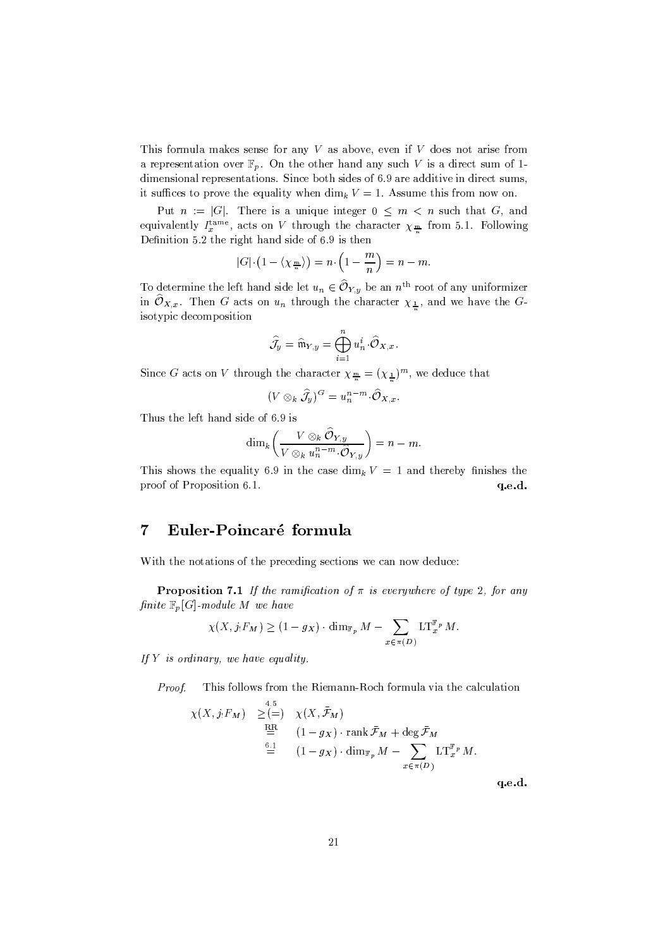This formula makes sense for any  $V$  as above, even if  $V$  does not arise from a representation over  $\mathbb{F}_p$ . On the other hand any such V is a direct sum of 1dimensional representations. Since both sides of 6.9 are additive in direct sums, it suffices to prove the equality when  $\dim_k V = 1$ . Assume this from now on.

Put  $n := |G|$ . There is a unique integer  $0 \leq m < n$  such that G, and equivalently  $I_x^{\text{tame}}$ , acts on V through the character  $\chi_{\frac{m}{n}}$  from 5.1. Following Definition 5.2 the right hand side of 6.9 is then

$$
|G| \cdot \left(1 - \langle \chi_{\frac{m}{n}} \rangle \right) = n \cdot \left(1 - \frac{m}{n}\right) = n - m.
$$

To determine the left hand side let  $u_n \in \widehat{\mathcal{O}}_{Y,y}$  be an  $n^{\text{th}}$  root of any uniformizer in  $\widehat{\mathcal{O}}_{X,x}$ . Then G acts on  $u_n$  through the character  $\chi_{\frac{1}{n}}$ , and we have the Gisotypic decomposition

$$
\widehat{\mathcal{J}}_y = \widehat{\mathfrak{m}}_{Y,y} = \bigoplus_{i=1}^n u_n^i \cdot \widehat{\mathcal{O}}_{X,x}.
$$

Since G acts on V through the character  $\chi_{\frac{m}{n}} = (\chi_{\frac{1}{n}})^m$ , we deduce that

$$
(V\otimes_k \widehat{\mathcal{J}}_y)^G=u_n^{n-m}\cdot \widehat{\mathcal{O}}_{X,x}.
$$

Thus the left hand side of 6.9 is

$$
\dim_k\left(\frac{V\otimes_k\widehat{\mathcal{O}}_{Y,y}}{V\otimes_k u_n^{n-m}\cdot\widehat{\mathcal{O}}_{Y,y}}\right)=n-m.
$$

This shows the equality 6.9 in the case dim<sub>k</sub>  $V = 1$  and thereby finishes the proof of Proposition 6.1. q.e.d.

#### $\overline{7}$ Euler-Poincaré formula

With the notations of the preceding sections we can now deduce:

**Proposition 7.1** If the ramification of  $\pi$  is everywhere of type 2, for any finite  $\mathbb{F}_p[G]$ -module M we have

$$
\chi(X, j_! F_M) \ge (1 - g_X) \cdot \dim_{\mathbb{F}_p} M - \sum_{x \in \pi(D)} \mathop{\rm LT}\nolimits_x^{\mathbb{F}_p} M
$$

If  $Y$  is ordinary, we have equality.

Proof. This follows from the Riemann-Roch formula via the calculation

$$
\chi(X, j_! F_M) \geq \begin{cases} 4.5 \\ = \\ \end{cases} \chi(X, \bar{\mathcal{F}}_M)
$$
  

$$
\stackrel{\text{RR}}{=} \\ \begin{cases} 1 - g_X \end{cases} \cdot \operatorname{rank} \bar{\mathcal{F}}_M + \deg \bar{\mathcal{F}}_M
$$
  

$$
\stackrel{6.1}{=} \left(1 - g_X \right) \cdot \dim_{\mathbb{F}_p} M - \sum_{x \in \pi(D)} \operatorname{LT}_{x}^{\mathbb{F}_p} M.
$$

q.e.d.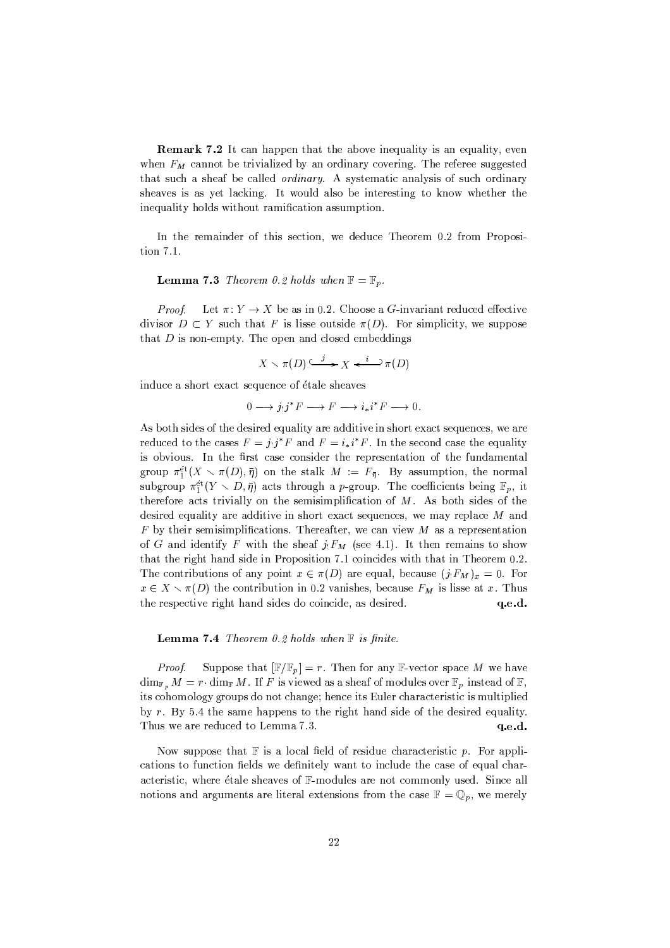**Remark 7.2** It can happen that the above inequality is an equality, even when  $F_M$  cannot be trivialized by an ordinary covering. The referee suggested that such a sheaf be called *ordinary*. A systematic analysis of such ordinary sheaves is as yet lacking. It would also be interesting to know whether the inequality holds without ramification assumption.

In the remainder of this section, we deduce Theorem 0.2 from Proposition 7.1.

**Lemma 7.3** Theorem 0.2 holds when  $\mathbb{F} = \mathbb{F}_p$ .

Let  $\pi: Y \to X$  be as in 0.2. Choose a G-invariant reduced effective Proof. divisor  $D \subset Y$  such that F is lisse outside  $\pi(D)$ . For simplicity, we suppose that  $D$  is non-empty. The open and closed embeddings

$$
X \smallsetminus \pi(D) \xrightarrow{j} X \xleftarrow{i} \mathcal{D} \pi(D)
$$

induce a short exact sequence of étale sheaves

$$
0 \longrightarrow j_!j^*F \longrightarrow F \longrightarrow i_*i^*F \longrightarrow 0.
$$

As both sides of the desired equality are additive in short exact sequences, we are reduced to the cases  $F = j_!j^*F$  and  $F = i_*i^*F$ . In the second case the equality is obvious. In the first case consider the representation of the fundamental group  $\pi_1^{\text{\'et}}(X \setminus \pi(D), \bar{\eta})$  on the stalk  $M := F_{\bar{\eta}}$ . By assumption, the normal subgroup  $\pi_1^{\text{\'et}}(Y \setminus D, \bar{\eta})$  acts through a p-group. The coefficients being  $\mathbb{F}_p$ , it therefore acts trivially on the semisimplification of  $M$ . As both sides of the desired equality are additive in short exact sequences, we may replace  $M$  and  $F$  by their semisimplifications. Thereafter, we can view  $M$  as a representation of G and identify F with the sheaf  $j_1F_M$  (see 4.1). It then remains to show that the right hand side in Proposition 7.1 coincides with that in Theorem 0.2. The contributions of any point  $x \in \pi(D)$  are equal, because  $(j_1 F_M)_x = 0$ . For  $x \in X \setminus \pi(D)$  the contribution in 0.2 vanishes, because  $F_M$  is lisse at x. Thus the respective right hand sides do coincide, as desired.  $q.e.d.$ 

**Lemma 7.4** Theorem 0.2 holds when  $\mathbb F$  is finite.

Suppose that  $[\mathbb{F}/\mathbb{F}_p] = r$ . Then for any F-vector space M we have Proof.  $\dim_{\mathbb{F}_p} M = r \cdot \dim_{\mathbb{F}} M$ . If F is viewed as a sheaf of modules over  $\mathbb{F}_p$  instead of  $\mathbb{F}_p$ , its cohomology groups do not change; hence its Euler characteristic is multiplied by  $r$ . By 5.4 the same happens to the right hand side of the desired equality. Thus we are reduced to Lemma 7.3.  $q.e.d.$ 

Now suppose that  $F$  is a local field of residue characteristic  $p$ . For applications to function fields we definitely want to include the case of equal characteristic, where étale sheaves of F-modules are not commonly used. Since all notions and arguments are literal extensions from the case  $\mathbb{F} = \mathbb{Q}_p$ , we merely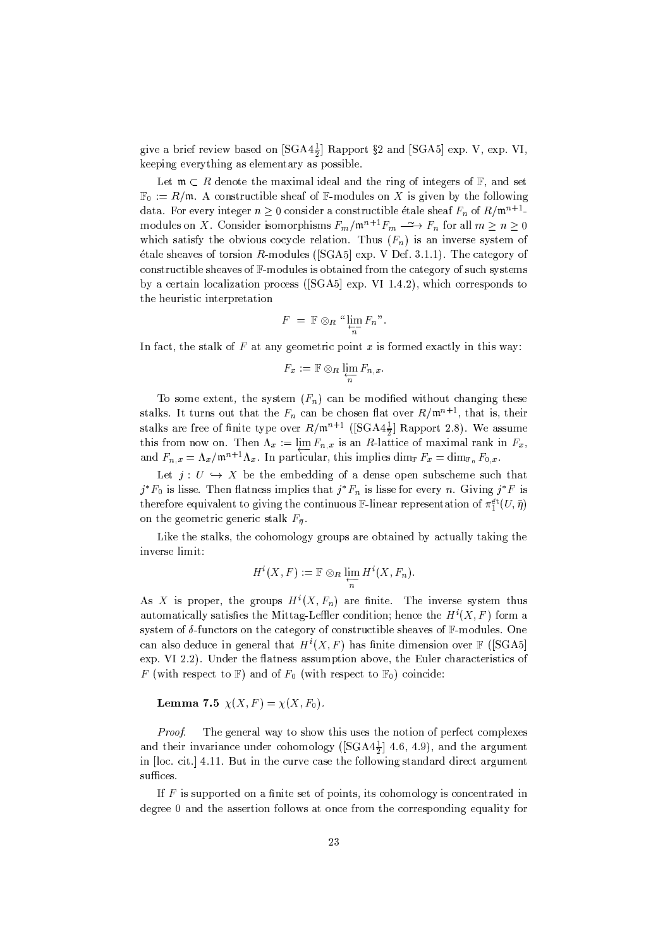give a brief review based on  $[\text{SGA4}^{\frac{1}{2}}]$  Rapport §2 and  $[\text{SGA5}]$  exp. V, exp. VI, keeping everything as elementary as possible.

Let  $\mathfrak{m} \subset R$  denote the maximal ideal and the ring of integers of  $\mathbb{F}$ , and set  $\mathbb{F}_0 := R/\mathfrak{m}$ . A constructible sheaf of F-modules on X is given by the following data. For every integer  $n \geq 0$  consider a constructible étale sheaf  $F_n$  of  $R/\mathfrak{m}^{n+1}$ modules on X. Consider isomorphisms  $F_m/\mathfrak{m}^{n+1}F_m \longrightarrow F_n$  for all  $m \geq n \geq 0$ which satisfy the obvious cocycle relation. Thus  $(F_n)$  is an inverse system of étale sheaves of torsion R-modules ([SGA5] exp. V Def. 3.1.1). The category of constructible sheaves of  $\mathbb{F}$ -modules is obtained from the category of such systems by a certain localization process (SGA5) exp. VI 1.4.2), which corresponds to the heuristic interpretation

$$
F = \mathbb{F} \otimes_R \sqrt[n]{\lim_{\substack{\longleftarrow \\ n}} F_n}.
$$

In fact, the stalk of  $F$  at any geometric point  $x$  is formed exactly in this way:

$$
F_x := \mathbb{F} \otimes_R \lim_{\substack{\longleftarrow \\ n}} F_{n,x}.
$$

To some extent, the system  $(F_n)$  can be modified without changing these stalks. It turns out that the  $F_n$  can be chosen flat over  $R/\mathfrak{m}^{n+1}$ , that is, their stalks are free of finite type over  $R/\mathfrak{m}^{n+1}$  ([SGA4 $\frac{1}{2}$ ] Rapport 2.8). We assume this from now on. Then  $\Lambda_x := \lim_{n \to \infty} F_{n,x}$  is an R-lattice of maximal rank in  $F_x$ , and  $F_{n,x} = \Lambda_x / \mathfrak{m}^{n+1} \Lambda_x$ . In particular, this implies dim<sub> $\mathbb{F} F_x = \dim_{\mathbb{F}_0} F_{0,x}$ .</sub>

Let  $j: U \hookrightarrow X$  be the embedding of a dense open subscheme such that  $j^*F_0$  is lisse. Then flatness implies that  $j^*F_n$  is lisse for every n. Giving  $j^*F$  is therefore equivalent to giving the continuous F-linear representation of  $\pi_1^{\text{\'et}}(U, \bar{\eta})$ on the geometric generic stalk  $F_{\bar{\eta}}$ .

Like the stalks, the cohomology groups are obtained by actually taking the inverse limit:

$$
H^i(X, F) := \mathbb{F} \otimes_R \varprojlim_n H^i(X, F_n).
$$

As X is proper, the groups  $H^{i}(X, F_n)$  are finite. The inverse system thus automatically satisfies the Mittag-Leffler condition; hence the  $H^{i}(X, F)$  form a system of  $\delta$ -functors on the category of constructible sheaves of  $\mathbb{F}\text{-modules}$ . One can also deduce in general that  $H^i(X, F)$  has finite dimension over  $\mathbb F$  ([SGA5] exp. VI 2.2). Under the flatness assumption above, the Euler characteristics of F (with respect to F) and of  $F_0$  (with respect to  $\mathbb{F}_0$ ) coincide:

### **Lemma 7.5**  $\chi(X, F) = \chi(X, F_0)$ .

The general way to show this uses the notion of perfect complexes Proof. and their invariance under cohomology ( $[SGA4\frac{1}{2}]$  4.6, 4.9), and the argument in [loc. cit.] 4.11. But in the curve case the following standard direct argument suffices.

If  $F$  is supported on a finite set of points, its cohomology is concentrated in degree 0 and the assertion follows at once from the corresponding equality for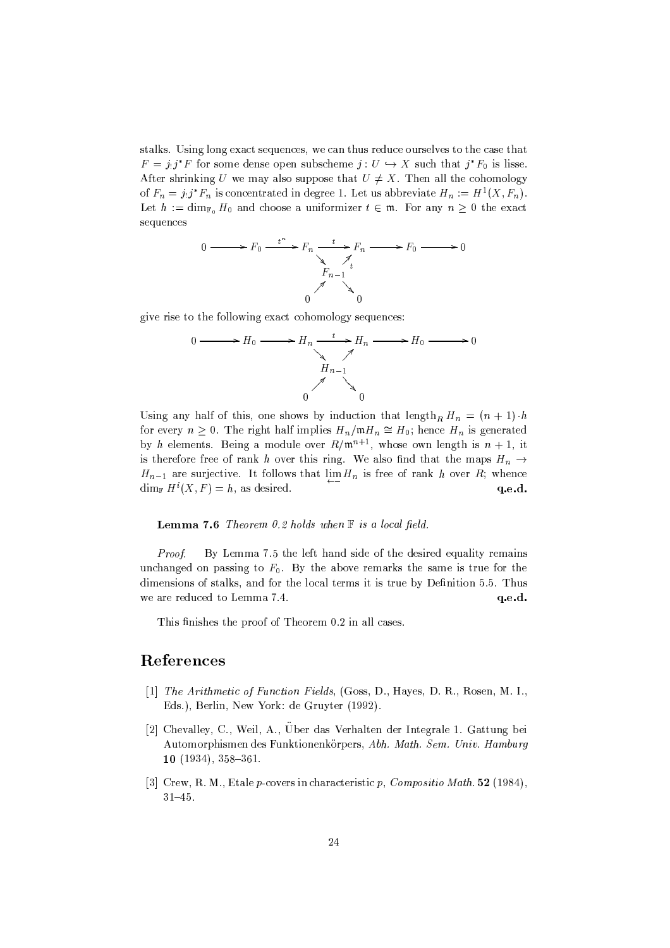stalks. Using long exact sequences, we can thus reduce ourselves to the case that  $F = j_!j^*F$  for some dense open subscheme  $j: U \hookrightarrow X$  such that  $j^*F_0$  is lisse. After shrinking U we may also suppose that  $U \neq X$ . Then all the cohomology of  $F_n = j_!j^*F_n$  is concentrated in degree 1. Let us abbreviate  $H_n := H^1(X, F_n)$ . Let  $h := \dim_{\mathbb{F}_0} H_0$  and choose a uniformizer  $t \in \mathfrak{m}$ . For any  $n \geq 0$  the exact sequences



give rise to the following exact cohomology sequences:

$$
0 \longrightarrow H_0 \longrightarrow H_n \xrightarrow{t} H_n \longrightarrow H_0 \longrightarrow 0
$$
\n
$$
H_{n-1} \longrightarrow
$$
\n
$$
0 \qquad \qquad 0
$$

Using any half of this, one shows by induction that length<sub>R</sub>  $H_n = (n + 1) \cdot h$ for every  $n \geq 0$ . The right half implies  $H_n/\mathfrak{m} H_n \cong H_0$ ; hence  $H_n$  is generated by h elements. Being a module over  $R/\mathfrak{m}^{n+1}$ , whose own length is  $n+1$ , it is therefore free of rank h over this ring. We also find that the maps  $H_n \to$  $H_{n-1}$  are surjective. It follows that  $\lim_{n \to \infty} H_n$  is free of rank h over R; whence  $\dim_{\mathbb{F}} H^i(X, F) = h$ , as desired. q.e.d.

**Lemma 7.6** Theorem 0.2 holds when  $\mathbb F$  is a local field.

Proof. By Lemma 7.5 the left hand side of the desired equality remains unchanged on passing to  $F_0$ . By the above remarks the same is true for the dimensions of stalks, and for the local terms it is true by Definition 5.5. Thus we are reduced to Lemma 7.4. q.e.d.

This finishes the proof of Theorem 0.2 in all cases.

## References

- [1] The Arithmetic of Function Fields, (Goss, D., Hayes, D. R., Rosen, M. I., Eds.), Berlin, New York: de Gruyter (1992).
- [2] Chevalley, C., Weil, A., Uber das Verhalten der Integrale 1. Gattung bei Automorphismen des Funktionenkörpers, Abh. Math. Sem. Univ. Hamburg  $10(1934), 358-361.$
- [3] Crew, R. M., Etale  $p$ -covers in characteristic  $p$ , Compositio Math. 52 (1984),  $31 - 45.$